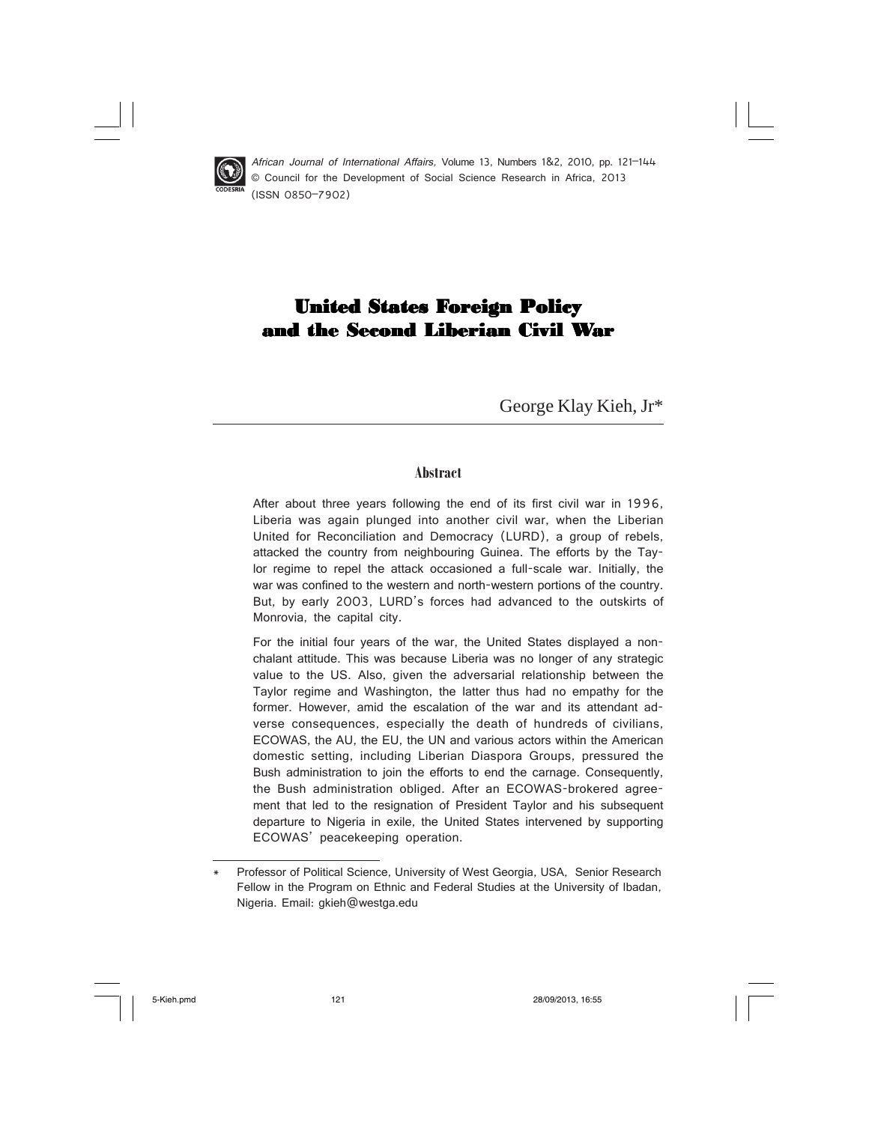

 African Journal of International Affairs, Volume 13, Numbers 1&2, 2010, pp. 121–144 © Council for the Development of Social Science Research in Africa, 2013 (ISSN 0850–7902)

# United States Foreign Policy and the Second Liberian Civil War

George Klay Kieh, Jr\*

#### **Abstract**

After about three years following the end of its first civil war in 1996, Liberia was again plunged into another civil war, when the Liberian United for Reconciliation and Democracy (LURD), a group of rebels, attacked the country from neighbouring Guinea. The efforts by the Taylor regime to repel the attack occasioned a full-scale war. Initially, the war was confined to the western and north-western portions of the country. But, by early 2003, LURD's forces had advanced to the outskirts of Monrovia, the capital city.

For the initial four years of the war, the United States displayed a nonchalant attitude. This was because Liberia was no longer of any strategic value to the US. Also, given the adversarial relationship between the Taylor regime and Washington, the latter thus had no empathy for the former. However, amid the escalation of the war and its attendant adverse consequences, especially the death of hundreds of civilians, ECOWAS, the AU, the EU, the UN and various actors within the American domestic setting, including Liberian Diaspora Groups, pressured the Bush administration to join the efforts to end the carnage. Consequently, the Bush administration obliged. After an ECOWAS-brokered agreement that led to the resignation of President Taylor and his subsequent departure to Nigeria in exile, the United States intervened by supporting ECOWAS' peacekeeping operation.

Professor of Political Science, University of West Georgia, USA, Senior Research Fellow in the Program on Ethnic and Federal Studies at the University of Ibadan, Nigeria. Email: gkieh@westga.edu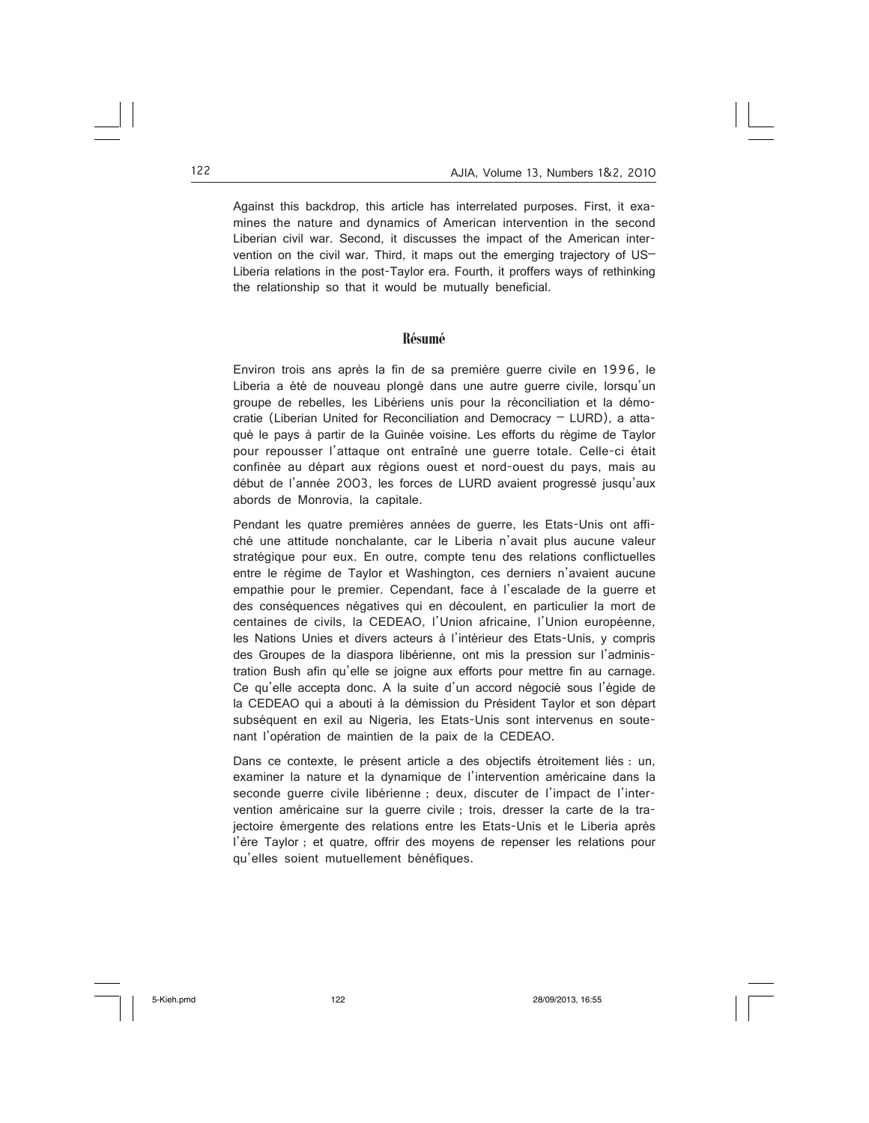Against this backdrop, this article has interrelated purposes. First, it examines the nature and dynamics of American intervention in the second Liberian civil war. Second, it discusses the impact of the American intervention on the civil war. Third, it maps out the emerging trajectory of US– Liberia relations in the post-Taylor era. Fourth, it proffers ways of rethinking the relationship so that it would be mutually beneficial.

#### **Résumé**

Environ trois ans après la fin de sa première guerre civile en 1996, le Liberia a été de nouveau plongé dans une autre guerre civile, lorsqu'un groupe de rebelles, les Libériens unis pour la réconciliation et la démocratie (Liberian United for Reconciliation and Democracy – LURD), a attaqué le pays à partir de la Guinée voisine. Les efforts du régime de Taylor pour repousser l'attaque ont entraîné une guerre totale. Celle-ci était confinée au départ aux régions ouest et nord-ouest du pays, mais au début de l'année 2003, les forces de LURD avaient progressé jusqu'aux abords de Monrovia, la capitale.

Pendant les quatre premières années de guerre, les Etats-Unis ont affiché une attitude nonchalante, car le Liberia n'avait plus aucune valeur stratégique pour eux. En outre, compte tenu des relations conflictuelles entre le régime de Taylor et Washington, ces derniers n'avaient aucune empathie pour le premier. Cependant, face à l'escalade de la guerre et des conséquences négatives qui en découlent, en particulier la mort de centaines de civils, la CEDEAO, l'Union africaine, l'Union européenne, les Nations Unies et divers acteurs à l'intérieur des Etats-Unis, y compris des Groupes de la diaspora libérienne, ont mis la pression sur l'administration Bush afin qu'elle se joigne aux efforts pour mettre fin au carnage. Ce qu'elle accepta donc. A la suite d'un accord négocié sous l'égide de la CEDEAO qui a abouti à la démission du Président Taylor et son départ subséquent en exil au Nigeria, les Etats-Unis sont intervenus en soutenant l'opération de maintien de la paix de la CEDEAO.

Dans ce contexte, le présent article a des objectifs étroitement liés : un, examiner la nature et la dynamique de l'intervention américaine dans la seconde guerre civile libérienne ; deux, discuter de l'impact de l'intervention américaine sur la guerre civile ; trois, dresser la carte de la trajectoire émergente des relations entre les Etats-Unis et le Liberia après l'ère Taylor ; et quatre, offrir des moyens de repenser les relations pour qu'elles soient mutuellement bénéfiques.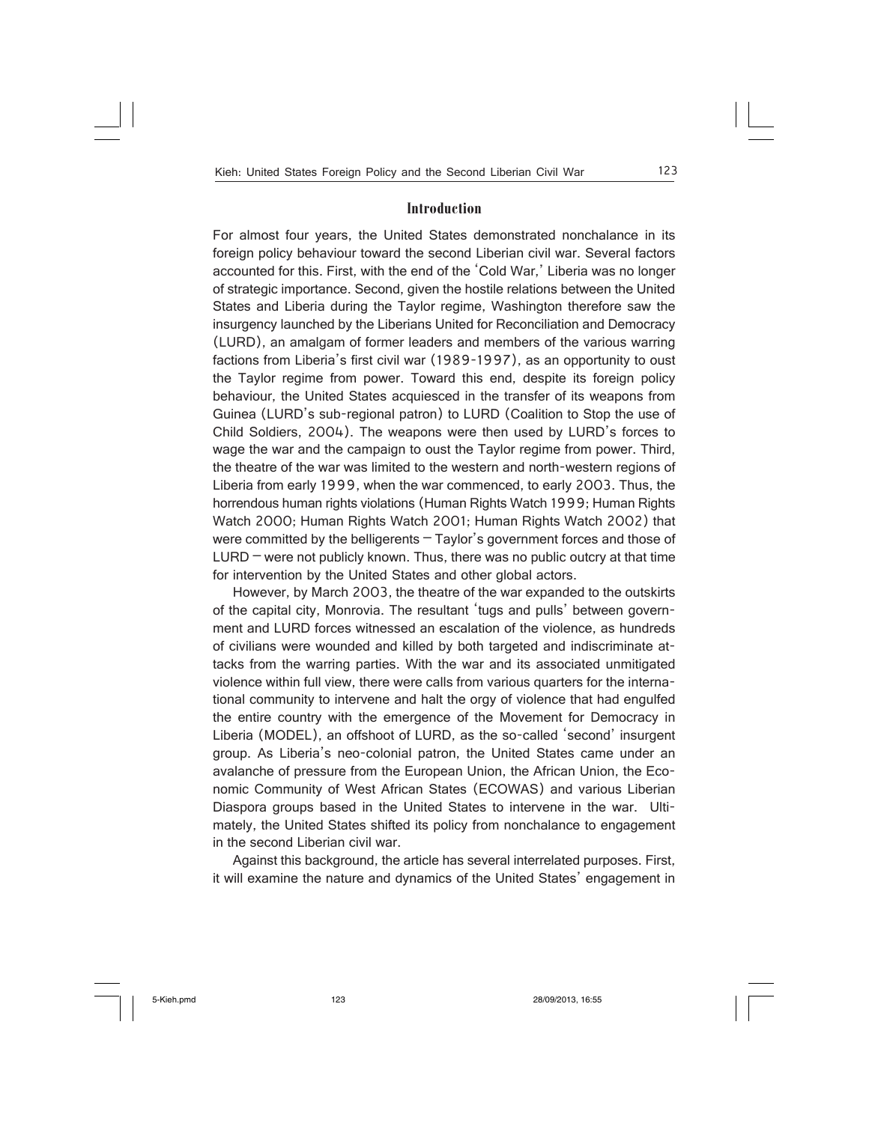### **Introduction**

For almost four years, the United States demonstrated nonchalance in its foreign policy behaviour toward the second Liberian civil war. Several factors accounted for this. First, with the end of the 'Cold War,' Liberia was no longer of strategic importance. Second, given the hostile relations between the United States and Liberia during the Taylor regime, Washington therefore saw the insurgency launched by the Liberians United for Reconciliation and Democracy (LURD), an amalgam of former leaders and members of the various warring factions from Liberia's first civil war (1989-1997), as an opportunity to oust the Taylor regime from power. Toward this end, despite its foreign policy behaviour, the United States acquiesced in the transfer of its weapons from Guinea (LURD's sub-regional patron) to LURD (Coalition to Stop the use of Child Soldiers, 2004). The weapons were then used by LURD's forces to wage the war and the campaign to oust the Taylor regime from power. Third, the theatre of the war was limited to the western and north-western regions of Liberia from early 1999, when the war commenced, to early 2003. Thus, the horrendous human rights violations (Human Rights Watch 1999; Human Rights Watch 2000; Human Rights Watch 2001; Human Rights Watch 2002) that were committed by the belligerents – Taylor's government forces and those of  $LURD$  – were not publicly known. Thus, there was no public outcry at that time for intervention by the United States and other global actors.

However, by March 2003, the theatre of the war expanded to the outskirts of the capital city, Monrovia. The resultant 'tugs and pulls' between government and LURD forces witnessed an escalation of the violence, as hundreds of civilians were wounded and killed by both targeted and indiscriminate attacks from the warring parties. With the war and its associated unmitigated violence within full view, there were calls from various quarters for the international community to intervene and halt the orgy of violence that had engulfed the entire country with the emergence of the Movement for Democracy in Liberia (MODEL), an offshoot of LURD, as the so-called 'second' insurgent group. As Liberia's neo-colonial patron, the United States came under an avalanche of pressure from the European Union, the African Union, the Economic Community of West African States (ECOWAS) and various Liberian Diaspora groups based in the United States to intervene in the war. Ultimately, the United States shifted its policy from nonchalance to engagement in the second Liberian civil war.

Against this background, the article has several interrelated purposes. First, it will examine the nature and dynamics of the United States' engagement in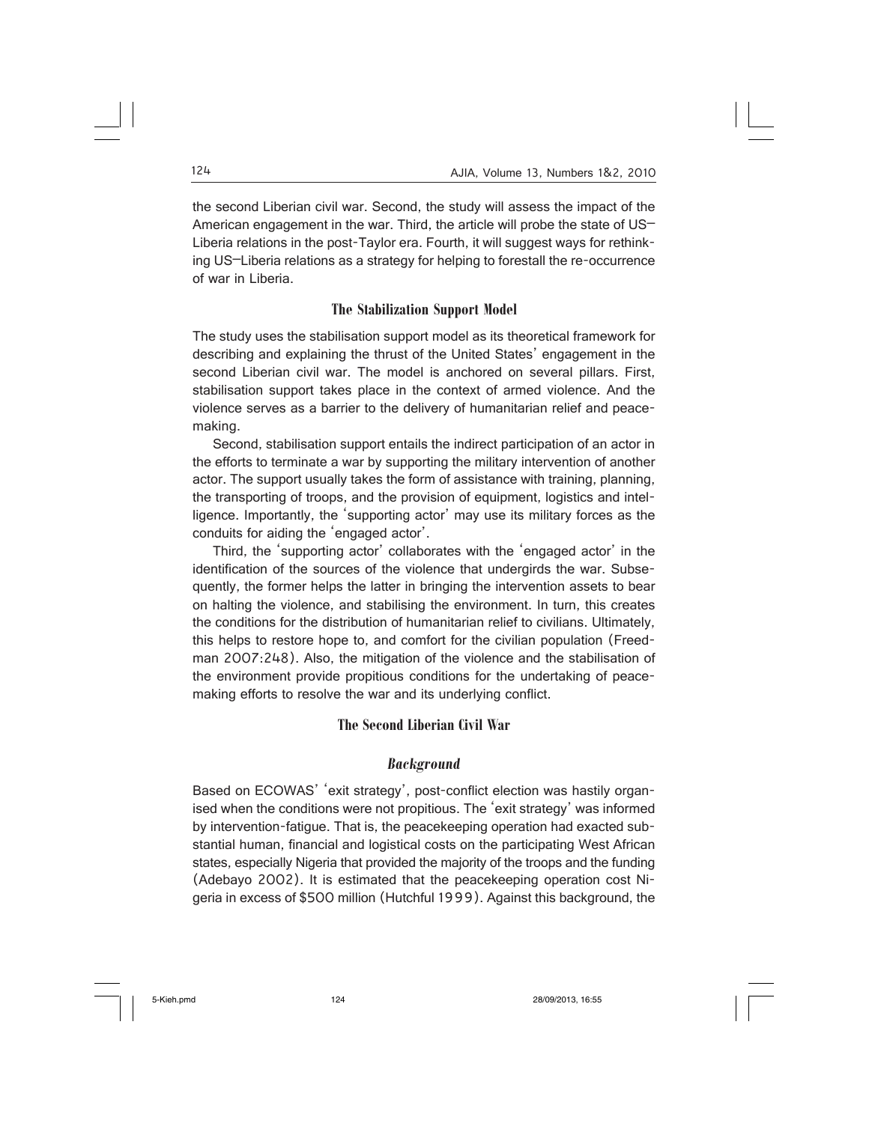the second Liberian civil war. Second, the study will assess the impact of the American engagement in the war. Third, the article will probe the state of US– Liberia relations in the post-Taylor era. Fourth, it will suggest ways for rethinking US–Liberia relations as a strategy for helping to forestall the re-occurrence of war in Liberia.

# **The Stabilization Support Model**

The study uses the stabilisation support model as its theoretical framework for describing and explaining the thrust of the United States' engagement in the second Liberian civil war. The model is anchored on several pillars. First, stabilisation support takes place in the context of armed violence. And the violence serves as a barrier to the delivery of humanitarian relief and peacemaking.

Second, stabilisation support entails the indirect participation of an actor in the efforts to terminate a war by supporting the military intervention of another actor. The support usually takes the form of assistance with training, planning, the transporting of troops, and the provision of equipment, logistics and intelligence. Importantly, the 'supporting actor' may use its military forces as the conduits for aiding the 'engaged actor'.

Third, the 'supporting actor' collaborates with the 'engaged actor' in the identification of the sources of the violence that undergirds the war. Subsequently, the former helps the latter in bringing the intervention assets to bear on halting the violence, and stabilising the environment. In turn, this creates the conditions for the distribution of humanitarian relief to civilians. Ultimately, this helps to restore hope to, and comfort for the civilian population (Freedman 2007:248). Also, the mitigation of the violence and the stabilisation of the environment provide propitious conditions for the undertaking of peacemaking efforts to resolve the war and its underlying conflict.

# **The Second Liberian Civil War**

# *Background*

Based on ECOWAS' 'exit strategy', post-conflict election was hastily organised when the conditions were not propitious. The 'exit strategy' was informed by intervention-fatigue. That is, the peacekeeping operation had exacted substantial human, financial and logistical costs on the participating West African states, especially Nigeria that provided the majority of the troops and the funding (Adebayo 2002). It is estimated that the peacekeeping operation cost Nigeria in excess of \$500 million (Hutchful 1999). Against this background, the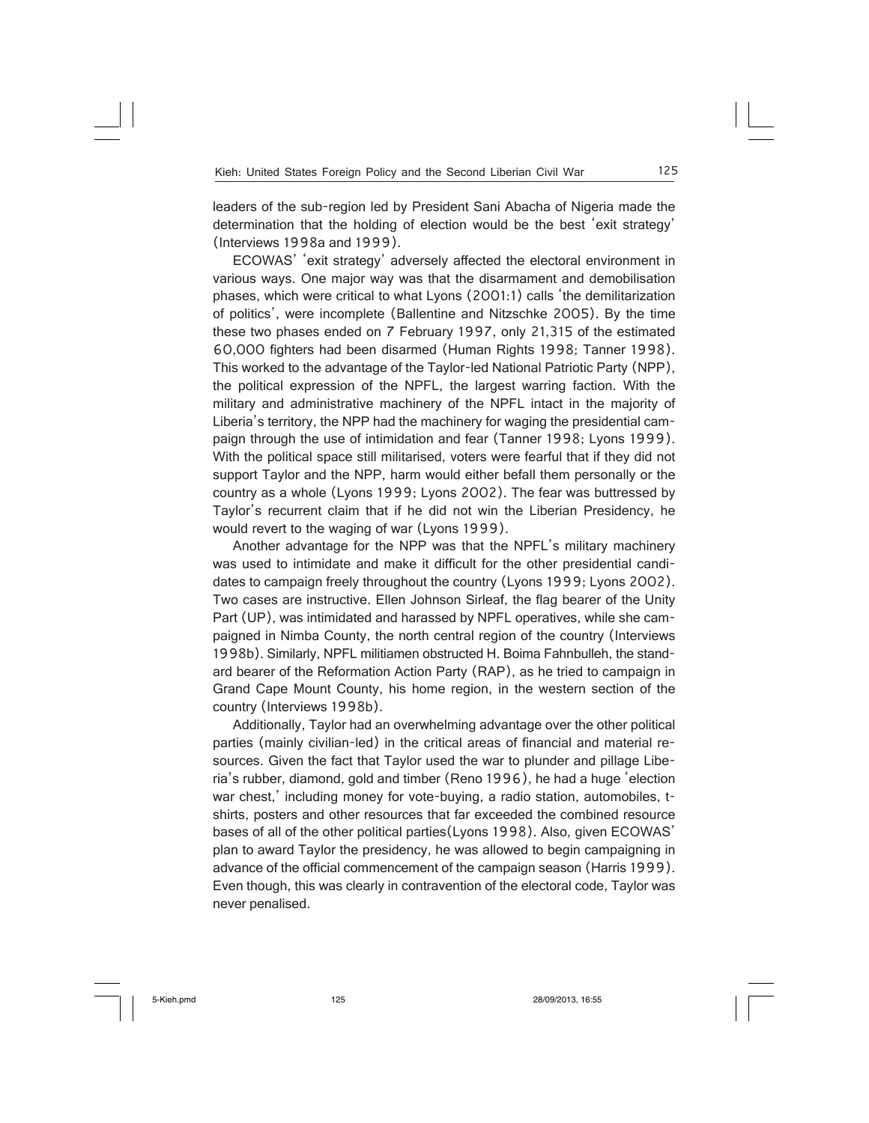leaders of the sub-region led by President Sani Abacha of Nigeria made the determination that the holding of election would be the best 'exit strategy' (Interviews 1998a and 1999).

ECOWAS' 'exit strategy' adversely affected the electoral environment in various ways. One major way was that the disarmament and demobilisation phases, which were critical to what Lyons (2001:1) calls 'the demilitarization of politics', were incomplete (Ballentine and Nitzschke 2005). By the time these two phases ended on 7 February 1997, only 21,315 of the estimated 60,000 fighters had been disarmed (Human Rights 1998; Tanner 1998). This worked to the advantage of the Taylor-led National Patriotic Party (NPP), the political expression of the NPFL, the largest warring faction. With the military and administrative machinery of the NPFL intact in the majority of Liberia's territory, the NPP had the machinery for waging the presidential campaign through the use of intimidation and fear (Tanner 1998; Lyons 1999). With the political space still militarised, voters were fearful that if they did not support Taylor and the NPP, harm would either befall them personally or the country as a whole (Lyons 1999; Lyons 2002). The fear was buttressed by Taylor's recurrent claim that if he did not win the Liberian Presidency, he would revert to the waging of war (Lyons 1999).

Another advantage for the NPP was that the NPFL's military machinery was used to intimidate and make it difficult for the other presidential candidates to campaign freely throughout the country (Lyons 1999; Lyons 2002). Two cases are instructive. Ellen Johnson Sirleaf, the flag bearer of the Unity Part (UP), was intimidated and harassed by NPFL operatives, while she campaigned in Nimba County, the north central region of the country (Interviews 1998b). Similarly, NPFL militiamen obstructed H. Boima Fahnbulleh, the standard bearer of the Reformation Action Party (RAP), as he tried to campaign in Grand Cape Mount County, his home region, in the western section of the country (Interviews 1998b).

Additionally, Taylor had an overwhelming advantage over the other political parties (mainly civilian-led) in the critical areas of financial and material resources. Given the fact that Taylor used the war to plunder and pillage Liberia's rubber, diamond, gold and timber (Reno 1996), he had a huge 'election war chest,' including money for vote-buying, a radio station, automobiles, tshirts, posters and other resources that far exceeded the combined resource bases of all of the other political parties(Lyons 1998). Also, given ECOWAS' plan to award Taylor the presidency, he was allowed to begin campaigning in advance of the official commencement of the campaign season (Harris 1999). Even though, this was clearly in contravention of the electoral code, Taylor was never penalised.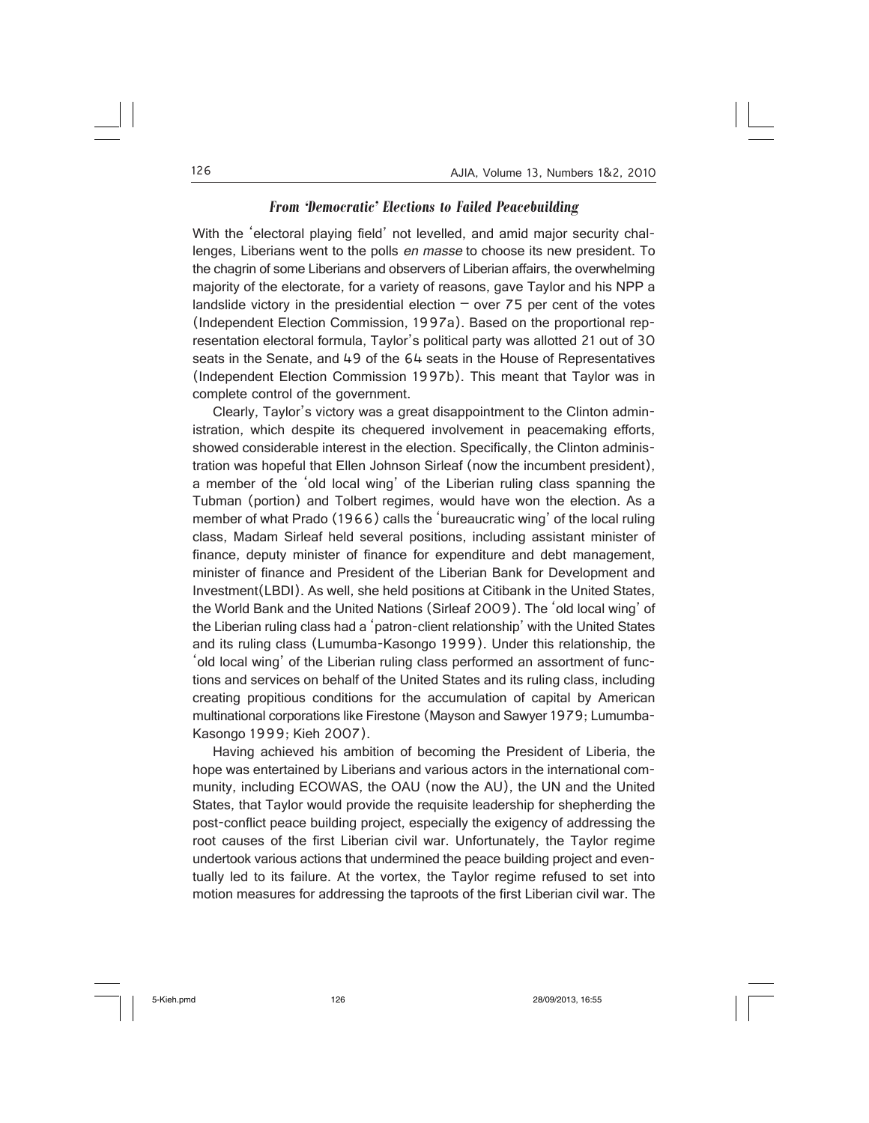# *From 'Democratic' Elections to Failed Peacebuilding*

With the 'electoral playing field' not levelled, and amid major security challenges, Liberians went to the polls en masse to choose its new president. To the chagrin of some Liberians and observers of Liberian affairs, the overwhelming majority of the electorate, for a variety of reasons, gave Taylor and his NPP a landslide victory in the presidential election  $-$  over 75 per cent of the votes (Independent Election Commission, 1997a). Based on the proportional representation electoral formula, Taylor's political party was allotted 21 out of 30 seats in the Senate, and 49 of the 64 seats in the House of Representatives (Independent Election Commission 1997b). This meant that Taylor was in complete control of the government.

Clearly, Taylor's victory was a great disappointment to the Clinton administration, which despite its chequered involvement in peacemaking efforts, showed considerable interest in the election. Specifically, the Clinton administration was hopeful that Ellen Johnson Sirleaf (now the incumbent president), a member of the 'old local wing' of the Liberian ruling class spanning the Tubman (portion) and Tolbert regimes, would have won the election. As a member of what Prado (1966) calls the 'bureaucratic wing' of the local ruling class, Madam Sirleaf held several positions, including assistant minister of finance, deputy minister of finance for expenditure and debt management, minister of finance and President of the Liberian Bank for Development and Investment(LBDI). As well, she held positions at Citibank in the United States, the World Bank and the United Nations (Sirleaf 2009). The 'old local wing' of the Liberian ruling class had a 'patron-client relationship' with the United States and its ruling class (Lumumba-Kasongo 1999). Under this relationship, the 'old local wing' of the Liberian ruling class performed an assortment of functions and services on behalf of the United States and its ruling class, including creating propitious conditions for the accumulation of capital by American multinational corporations like Firestone (Mayson and Sawyer 1979; Lumumba-Kasongo 1999; Kieh 2007).

Having achieved his ambition of becoming the President of Liberia, the hope was entertained by Liberians and various actors in the international community, including ECOWAS, the OAU (now the AU), the UN and the United States, that Taylor would provide the requisite leadership for shepherding the post-conflict peace building project, especially the exigency of addressing the root causes of the first Liberian civil war. Unfortunately, the Taylor regime undertook various actions that undermined the peace building project and eventually led to its failure. At the vortex, the Taylor regime refused to set into motion measures for addressing the taproots of the first Liberian civil war. The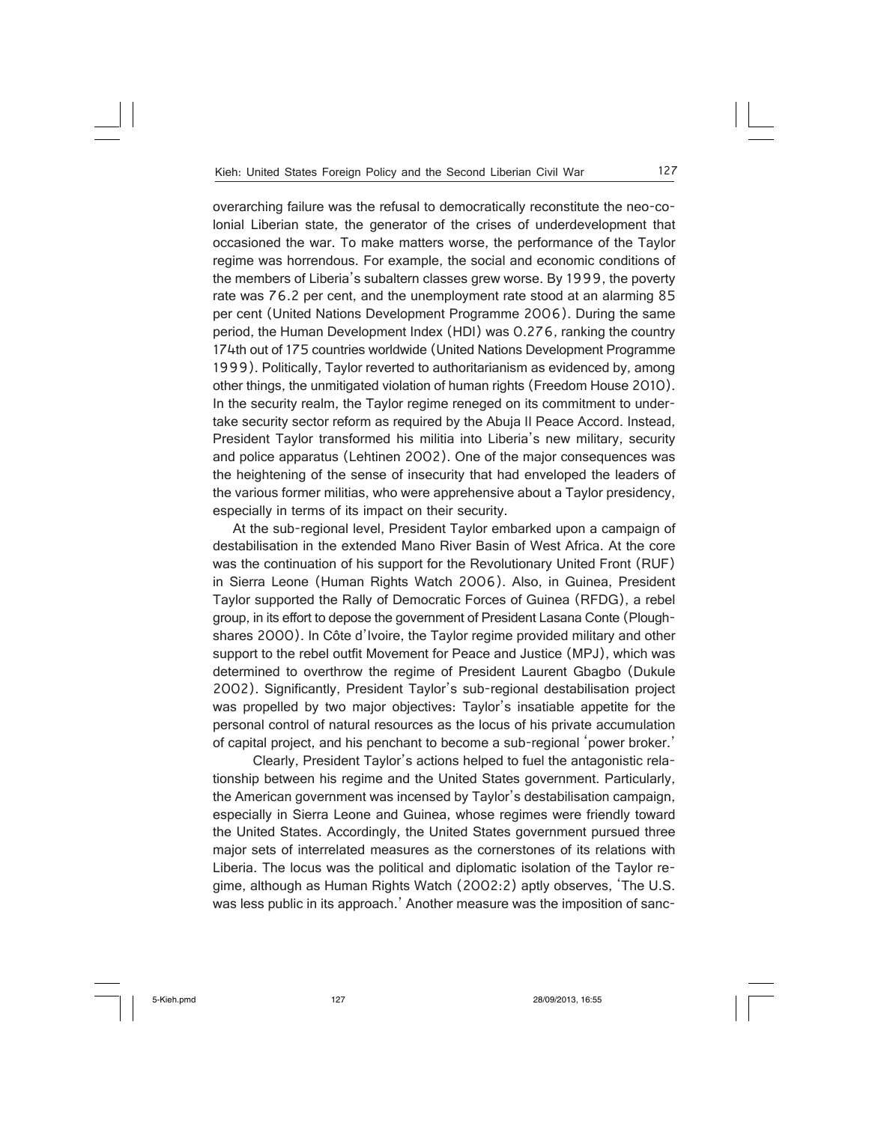overarching failure was the refusal to democratically reconstitute the neo-colonial Liberian state, the generator of the crises of underdevelopment that occasioned the war. To make matters worse, the performance of the Taylor regime was horrendous. For example, the social and economic conditions of the members of Liberia's subaltern classes grew worse. By 1999, the poverty rate was 76.2 per cent, and the unemployment rate stood at an alarming 85 per cent (United Nations Development Programme 2006). During the same period, the Human Development Index (HDI) was 0.276, ranking the country 174th out of 175 countries worldwide (United Nations Development Programme 1999). Politically, Taylor reverted to authoritarianism as evidenced by, among other things, the unmitigated violation of human rights (Freedom House 2010). In the security realm, the Taylor regime reneged on its commitment to undertake security sector reform as required by the Abuja II Peace Accord. Instead, President Taylor transformed his militia into Liberia's new military, security and police apparatus (Lehtinen 2002). One of the major consequences was the heightening of the sense of insecurity that had enveloped the leaders of the various former militias, who were apprehensive about a Taylor presidency, especially in terms of its impact on their security.

At the sub-regional level, President Taylor embarked upon a campaign of destabilisation in the extended Mano River Basin of West Africa. At the core was the continuation of his support for the Revolutionary United Front (RUF) in Sierra Leone (Human Rights Watch 2006). Also, in Guinea, President Taylor supported the Rally of Democratic Forces of Guinea (RFDG), a rebel group, in its effort to depose the government of President Lasana Conte (Ploughshares 2000). In Côte d'Ivoire, the Taylor regime provided military and other support to the rebel outfit Movement for Peace and Justice (MPJ), which was determined to overthrow the regime of President Laurent Gbagbo (Dukule 2002). Significantly, President Taylor's sub-regional destabilisation project was propelled by two major objectives: Taylor's insatiable appetite for the personal control of natural resources as the locus of his private accumulation of capital project, and his penchant to become a sub-regional 'power broker.'

 Clearly, President Taylor's actions helped to fuel the antagonistic relationship between his regime and the United States government. Particularly, the American government was incensed by Taylor's destabilisation campaign, especially in Sierra Leone and Guinea, whose regimes were friendly toward the United States. Accordingly, the United States government pursued three major sets of interrelated measures as the cornerstones of its relations with Liberia. The locus was the political and diplomatic isolation of the Taylor regime, although as Human Rights Watch (2002:2) aptly observes, 'The U.S. was less public in its approach.' Another measure was the imposition of sanc-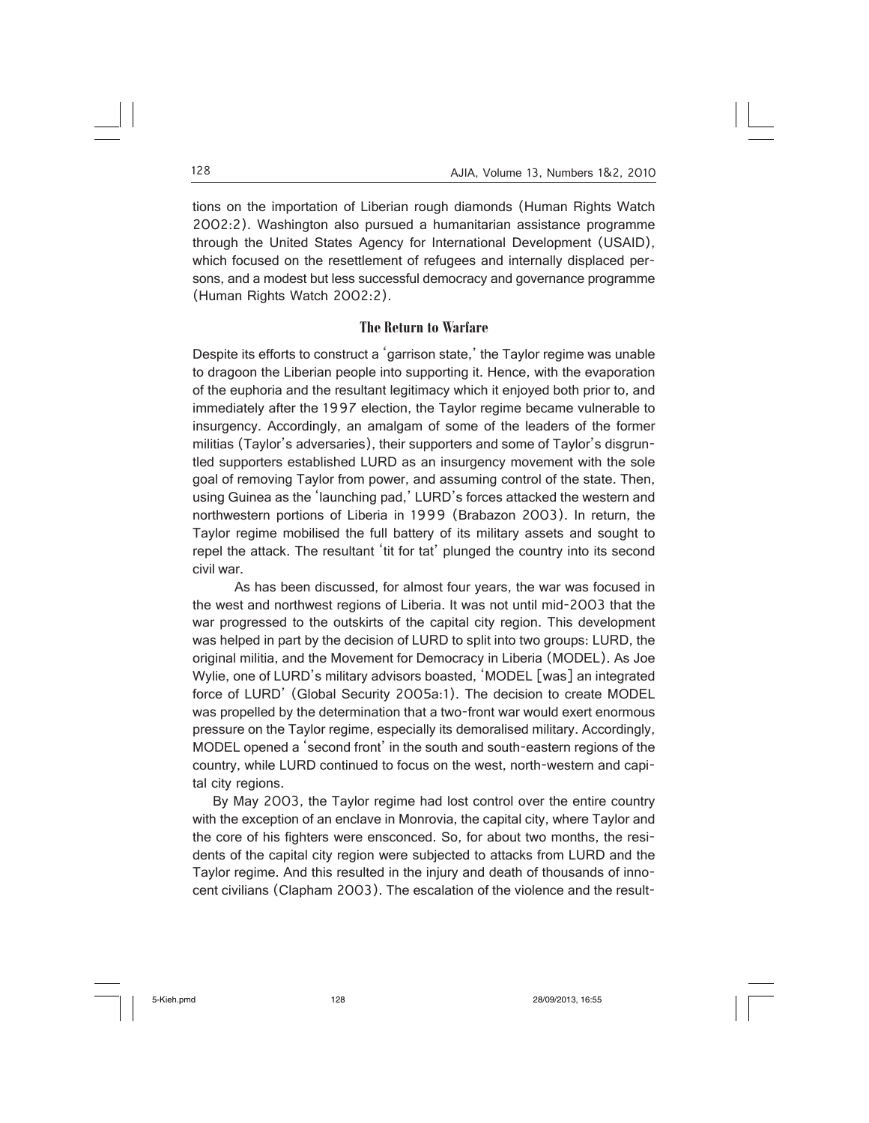tions on the importation of Liberian rough diamonds (Human Rights Watch 2002:2). Washington also pursued a humanitarian assistance programme through the United States Agency for International Development (USAID), which focused on the resettlement of refugees and internally displaced persons, and a modest but less successful democracy and governance programme (Human Rights Watch 2002:2).

# **The Return to Warfare**

Despite its efforts to construct a 'garrison state,' the Taylor regime was unable to dragoon the Liberian people into supporting it. Hence, with the evaporation of the euphoria and the resultant legitimacy which it enjoyed both prior to, and immediately after the 1997 election, the Taylor regime became vulnerable to insurgency. Accordingly, an amalgam of some of the leaders of the former militias (Taylor's adversaries), their supporters and some of Taylor's disgruntled supporters established LURD as an insurgency movement with the sole goal of removing Taylor from power, and assuming control of the state. Then, using Guinea as the 'launching pad,' LURD's forces attacked the western and northwestern portions of Liberia in 1999 (Brabazon 2003). In return, the Taylor regime mobilised the full battery of its military assets and sought to repel the attack. The resultant 'tit for tat' plunged the country into its second civil war.

 As has been discussed, for almost four years, the war was focused in the west and northwest regions of Liberia. It was not until mid-2003 that the war progressed to the outskirts of the capital city region. This development was helped in part by the decision of LURD to split into two groups: LURD, the original militia, and the Movement for Democracy in Liberia (MODEL). As Joe Wylie, one of LURD's military advisors boasted, 'MODEL [was] an integrated force of LURD' (Global Security 2005a:1). The decision to create MODEL was propelled by the determination that a two-front war would exert enormous pressure on the Taylor regime, especially its demoralised military. Accordingly, MODEL opened a 'second front' in the south and south-eastern regions of the country, while LURD continued to focus on the west, north-western and capital city regions.

By May 2003, the Taylor regime had lost control over the entire country with the exception of an enclave in Monrovia, the capital city, where Taylor and the core of his fighters were ensconced. So, for about two months, the residents of the capital city region were subjected to attacks from LURD and the Taylor regime. And this resulted in the injury and death of thousands of innocent civilians (Clapham 2003). The escalation of the violence and the result-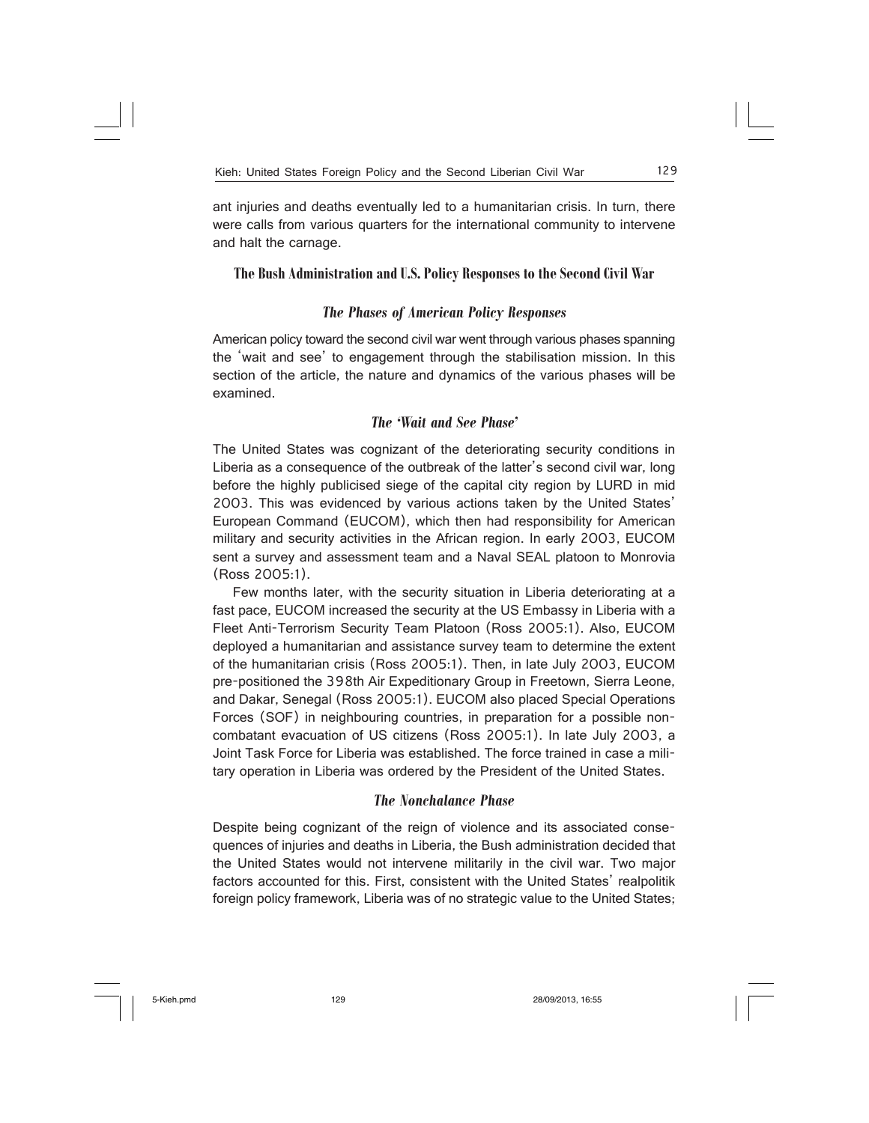ant injuries and deaths eventually led to a humanitarian crisis. In turn, there were calls from various quarters for the international community to intervene and halt the carnage.

# **The Bush Administration and U.S. Policy Responses to the Second Civil War**

# *The Phases of American Policy Responses*

American policy toward the second civil war went through various phases spanning the 'wait and see' to engagement through the stabilisation mission. In this section of the article, the nature and dynamics of the various phases will be examined.

# *The 'Wait and See Phase'*

The United States was cognizant of the deteriorating security conditions in Liberia as a consequence of the outbreak of the latter's second civil war, long before the highly publicised siege of the capital city region by LURD in mid 2003. This was evidenced by various actions taken by the United States' European Command (EUCOM), which then had responsibility for American military and security activities in the African region. In early 2003, EUCOM sent a survey and assessment team and a Naval SEAL platoon to Monrovia (Ross 2005:1).

Few months later, with the security situation in Liberia deteriorating at a fast pace, EUCOM increased the security at the US Embassy in Liberia with a Fleet Anti-Terrorism Security Team Platoon (Ross 2005:1). Also, EUCOM deployed a humanitarian and assistance survey team to determine the extent of the humanitarian crisis (Ross 2005:1). Then, in late July 2003, EUCOM pre-positioned the 398th Air Expeditionary Group in Freetown, Sierra Leone, and Dakar, Senegal (Ross 2005:1). EUCOM also placed Special Operations Forces (SOF) in neighbouring countries, in preparation for a possible noncombatant evacuation of US citizens (Ross 2005:1). In late July 2003, a Joint Task Force for Liberia was established. The force trained in case a military operation in Liberia was ordered by the President of the United States.

#### *The Nonchalance Phase*

Despite being cognizant of the reign of violence and its associated consequences of injuries and deaths in Liberia, the Bush administration decided that the United States would not intervene militarily in the civil war. Two major factors accounted for this. First, consistent with the United States' realpolitik foreign policy framework, Liberia was of no strategic value to the United States;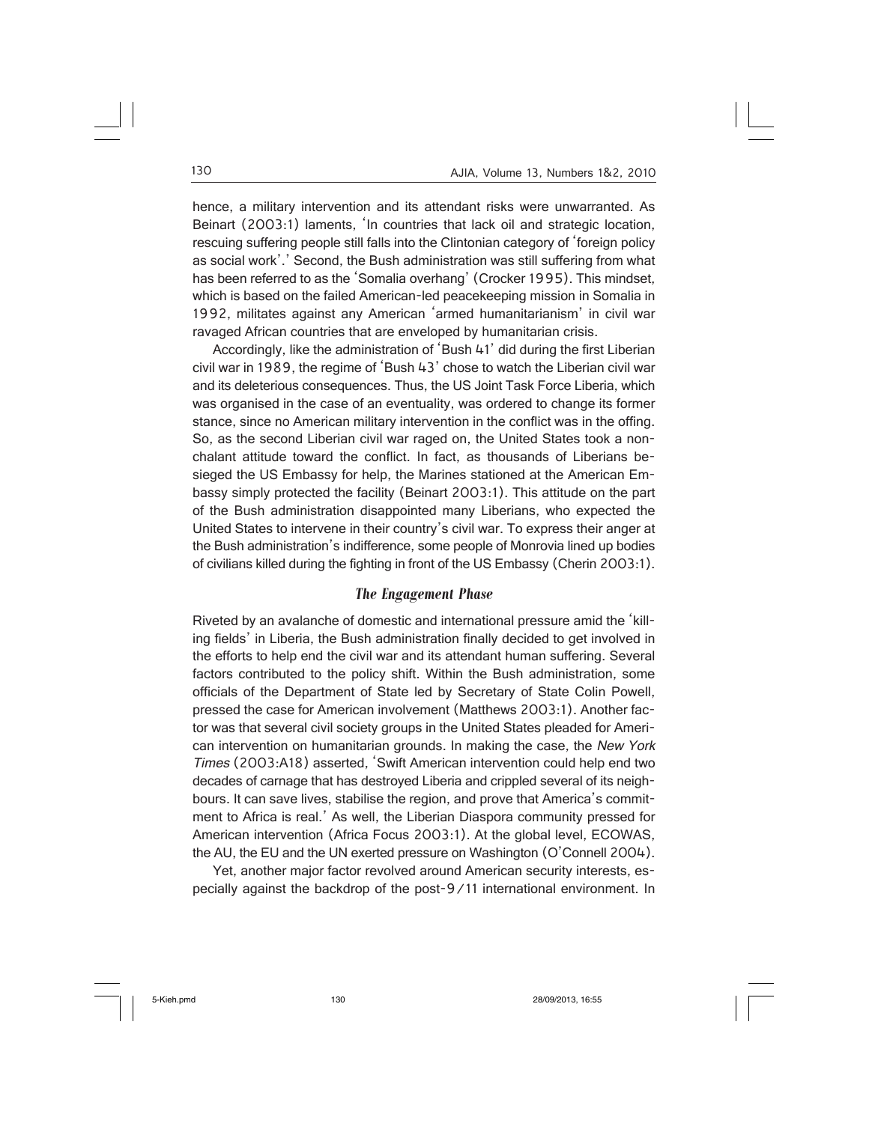hence, a military intervention and its attendant risks were unwarranted. As Beinart (2003:1) laments, 'In countries that lack oil and strategic location, rescuing suffering people still falls into the Clintonian category of 'foreign policy as social work'.' Second, the Bush administration was still suffering from what has been referred to as the 'Somalia overhang' (Crocker 1995). This mindset, which is based on the failed American-led peacekeeping mission in Somalia in 1992, militates against any American 'armed humanitarianism' in civil war ravaged African countries that are enveloped by humanitarian crisis.

Accordingly, like the administration of 'Bush 41' did during the first Liberian civil war in 1989, the regime of 'Bush 43' chose to watch the Liberian civil war and its deleterious consequences. Thus, the US Joint Task Force Liberia, which was organised in the case of an eventuality, was ordered to change its former stance, since no American military intervention in the conflict was in the offing. So, as the second Liberian civil war raged on, the United States took a nonchalant attitude toward the conflict. In fact, as thousands of Liberians besieged the US Embassy for help, the Marines stationed at the American Embassy simply protected the facility (Beinart 2003:1). This attitude on the part of the Bush administration disappointed many Liberians, who expected the United States to intervene in their country's civil war. To express their anger at the Bush administration's indifference, some people of Monrovia lined up bodies of civilians killed during the fighting in front of the US Embassy (Cherin 2003:1).

#### *The Engagement Phase*

Riveted by an avalanche of domestic and international pressure amid the 'killing fields' in Liberia, the Bush administration finally decided to get involved in the efforts to help end the civil war and its attendant human suffering. Several factors contributed to the policy shift. Within the Bush administration, some officials of the Department of State led by Secretary of State Colin Powell, pressed the case for American involvement (Matthews 2003:1). Another factor was that several civil society groups in the United States pleaded for American intervention on humanitarian grounds. In making the case, the New York Times (2003:A18) asserted, 'Swift American intervention could help end two decades of carnage that has destroyed Liberia and crippled several of its neighbours. It can save lives, stabilise the region, and prove that America's commitment to Africa is real.' As well, the Liberian Diaspora community pressed for American intervention (Africa Focus 2003:1). At the global level, ECOWAS, the AU, the EU and the UN exerted pressure on Washington (O'Connell 2004).

Yet, another major factor revolved around American security interests, especially against the backdrop of the post-9/11 international environment. In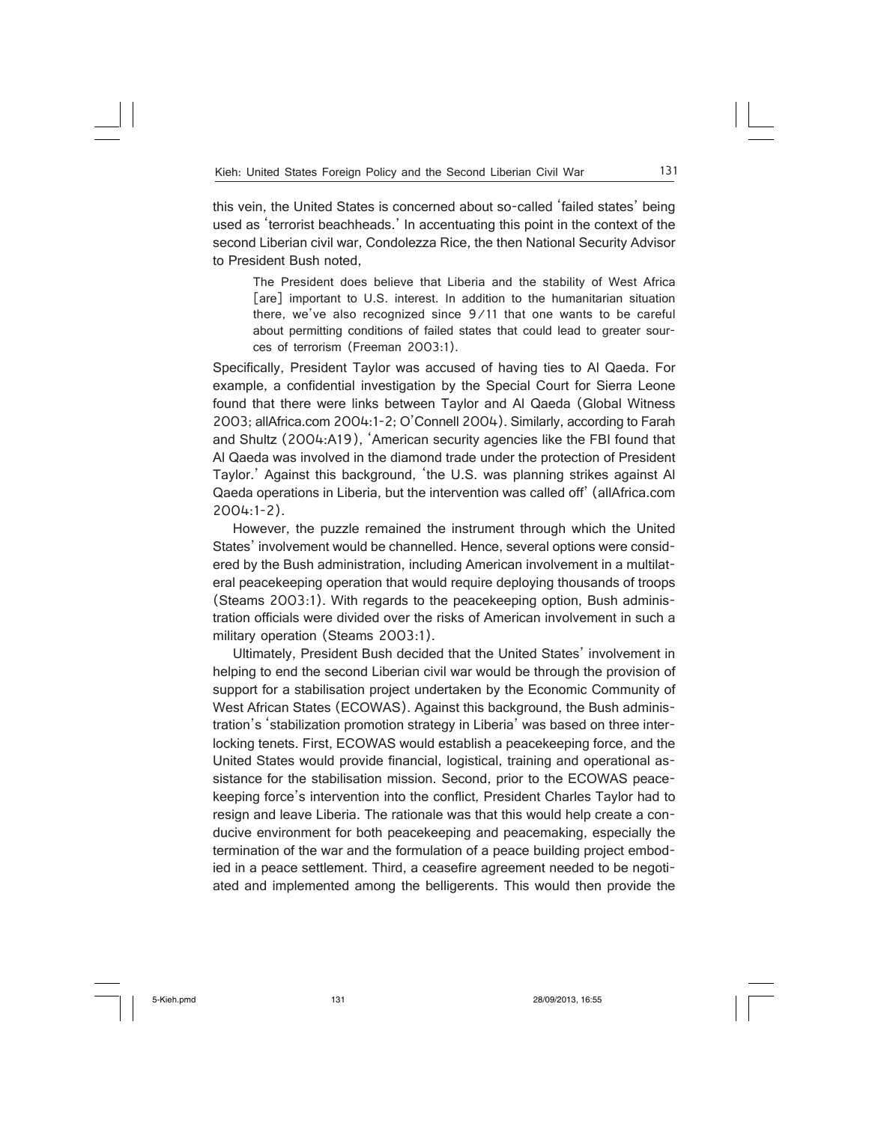this vein, the United States is concerned about so-called 'failed states' being used as 'terrorist beachheads.' In accentuating this point in the context of the second Liberian civil war, Condolezza Rice, the then National Security Advisor to President Bush noted,

The President does believe that Liberia and the stability of West Africa [are] important to U.S. interest. In addition to the humanitarian situation there, we've also recognized since 9/11 that one wants to be careful about permitting conditions of failed states that could lead to greater sources of terrorism (Freeman 2003:1).

Specifically, President Taylor was accused of having ties to Al Qaeda. For example, a confidential investigation by the Special Court for Sierra Leone found that there were links between Taylor and Al Qaeda (Global Witness 2003; allAfrica.com 2004:1-2; O'Connell 2004). Similarly, according to Farah and Shultz (2004:A19), 'American security agencies like the FBI found that Al Qaeda was involved in the diamond trade under the protection of President Taylor.' Against this background, 'the U.S. was planning strikes against Al Qaeda operations in Liberia, but the intervention was called off' (allAfrica.com 2004:1-2).

However, the puzzle remained the instrument through which the United States' involvement would be channelled. Hence, several options were considered by the Bush administration, including American involvement in a multilateral peacekeeping operation that would require deploying thousands of troops (Steams 2003:1). With regards to the peacekeeping option, Bush administration officials were divided over the risks of American involvement in such a military operation (Steams 2003:1).

Ultimately, President Bush decided that the United States' involvement in helping to end the second Liberian civil war would be through the provision of support for a stabilisation project undertaken by the Economic Community of West African States (ECOWAS). Against this background, the Bush administration's 'stabilization promotion strategy in Liberia' was based on three interlocking tenets. First, ECOWAS would establish a peacekeeping force, and the United States would provide financial, logistical, training and operational assistance for the stabilisation mission. Second, prior to the ECOWAS peacekeeping force's intervention into the conflict, President Charles Taylor had to resign and leave Liberia. The rationale was that this would help create a conducive environment for both peacekeeping and peacemaking, especially the termination of the war and the formulation of a peace building project embodied in a peace settlement. Third, a ceasefire agreement needed to be negotiated and implemented among the belligerents. This would then provide the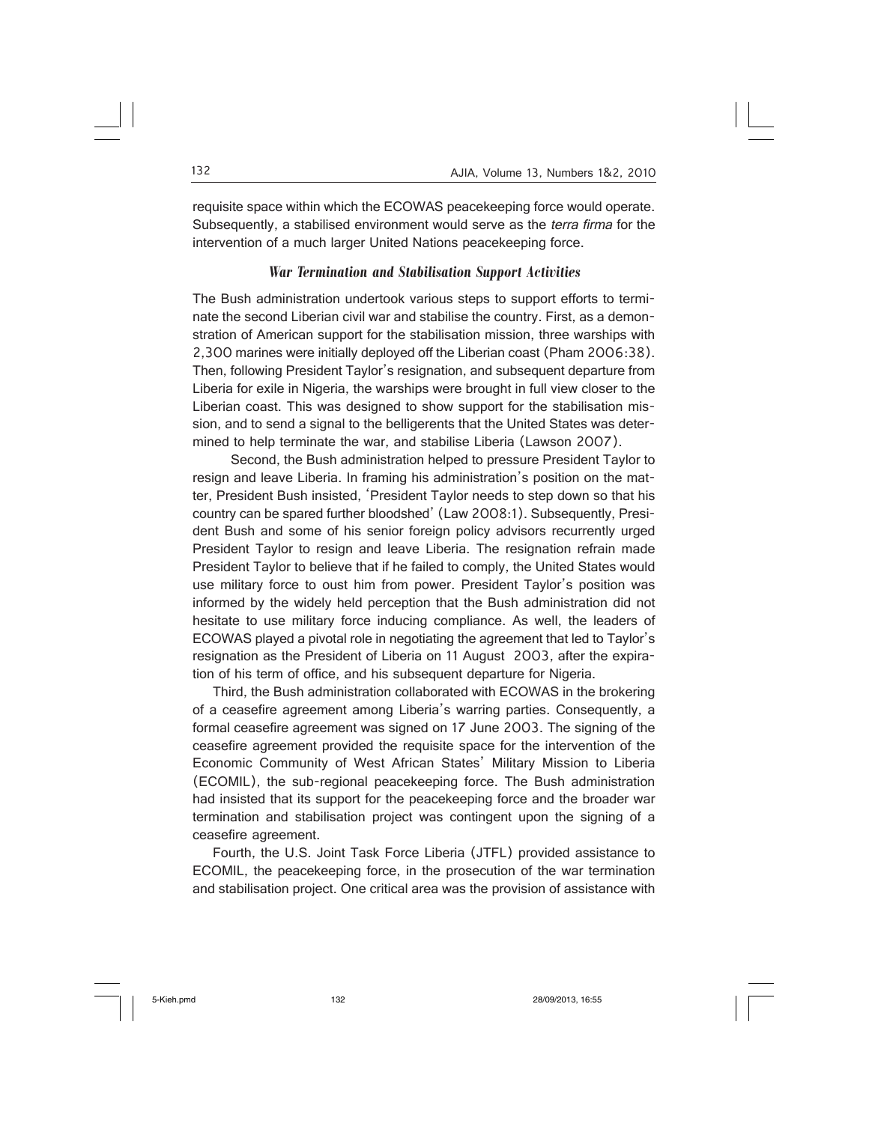requisite space within which the ECOWAS peacekeeping force would operate. Subsequently, a stabilised environment would serve as the terra firma for the intervention of a much larger United Nations peacekeeping force.

#### *War Termination and Stabilisation Support Activities*

The Bush administration undertook various steps to support efforts to terminate the second Liberian civil war and stabilise the country. First, as a demonstration of American support for the stabilisation mission, three warships with 2,300 marines were initially deployed off the Liberian coast (Pham 2006:38). Then, following President Taylor's resignation, and subsequent departure from Liberia for exile in Nigeria, the warships were brought in full view closer to the Liberian coast. This was designed to show support for the stabilisation mission, and to send a signal to the belligerents that the United States was determined to help terminate the war, and stabilise Liberia (Lawson 2007).

 Second, the Bush administration helped to pressure President Taylor to resign and leave Liberia. In framing his administration's position on the matter, President Bush insisted, 'President Taylor needs to step down so that his country can be spared further bloodshed' (Law 2008:1). Subsequently, President Bush and some of his senior foreign policy advisors recurrently urged President Taylor to resign and leave Liberia. The resignation refrain made President Taylor to believe that if he failed to comply, the United States would use military force to oust him from power. President Taylor's position was informed by the widely held perception that the Bush administration did not hesitate to use military force inducing compliance. As well, the leaders of ECOWAS played a pivotal role in negotiating the agreement that led to Taylor's resignation as the President of Liberia on 11 August 2003, after the expiration of his term of office, and his subsequent departure for Nigeria.

Third, the Bush administration collaborated with ECOWAS in the brokering of a ceasefire agreement among Liberia's warring parties. Consequently, a formal ceasefire agreement was signed on 17 June 2003. The signing of the ceasefire agreement provided the requisite space for the intervention of the Economic Community of West African States' Military Mission to Liberia (ECOMIL), the sub-regional peacekeeping force. The Bush administration had insisted that its support for the peacekeeping force and the broader war termination and stabilisation project was contingent upon the signing of a ceasefire agreement.

Fourth, the U.S. Joint Task Force Liberia (JTFL) provided assistance to ECOMIL, the peacekeeping force, in the prosecution of the war termination and stabilisation project. One critical area was the provision of assistance with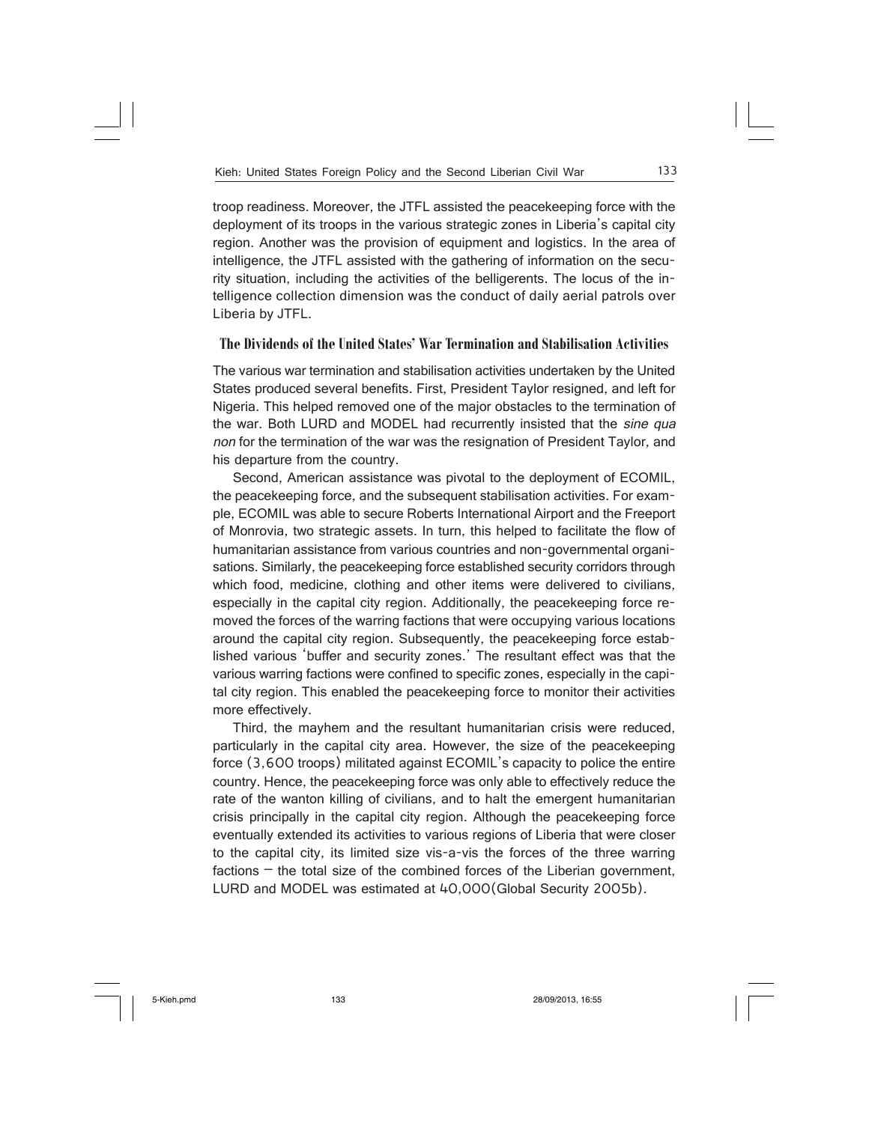troop readiness. Moreover, the JTFL assisted the peacekeeping force with the deployment of its troops in the various strategic zones in Liberia's capital city region. Another was the provision of equipment and logistics. In the area of intelligence, the JTFL assisted with the gathering of information on the security situation, including the activities of the belligerents. The locus of the intelligence collection dimension was the conduct of daily aerial patrols over Liberia by JTFL.

# **The Dividends of the United States' War Termination and Stabilisation Activities**

The various war termination and stabilisation activities undertaken by the United States produced several benefits. First, President Taylor resigned, and left for Nigeria. This helped removed one of the major obstacles to the termination of the war. Both LURD and MODEL had recurrently insisted that the sine qua non for the termination of the war was the resignation of President Taylor, and his departure from the country.

Second, American assistance was pivotal to the deployment of ECOMIL, the peacekeeping force, and the subsequent stabilisation activities. For example, ECOMIL was able to secure Roberts International Airport and the Freeport of Monrovia, two strategic assets. In turn, this helped to facilitate the flow of humanitarian assistance from various countries and non-governmental organisations. Similarly, the peacekeeping force established security corridors through which food, medicine, clothing and other items were delivered to civilians, especially in the capital city region. Additionally, the peacekeeping force removed the forces of the warring factions that were occupying various locations around the capital city region. Subsequently, the peacekeeping force established various 'buffer and security zones.' The resultant effect was that the various warring factions were confined to specific zones, especially in the capital city region. This enabled the peacekeeping force to monitor their activities more effectively.

Third, the mayhem and the resultant humanitarian crisis were reduced, particularly in the capital city area. However, the size of the peacekeeping force (3,600 troops) militated against ECOMIL's capacity to police the entire country. Hence, the peacekeeping force was only able to effectively reduce the rate of the wanton killing of civilians, and to halt the emergent humanitarian crisis principally in the capital city region. Although the peacekeeping force eventually extended its activities to various regions of Liberia that were closer to the capital city, its limited size vis-a-vis the forces of the three warring factions – the total size of the combined forces of the Liberian government, LURD and MODEL was estimated at 40,000(Global Security 2005b).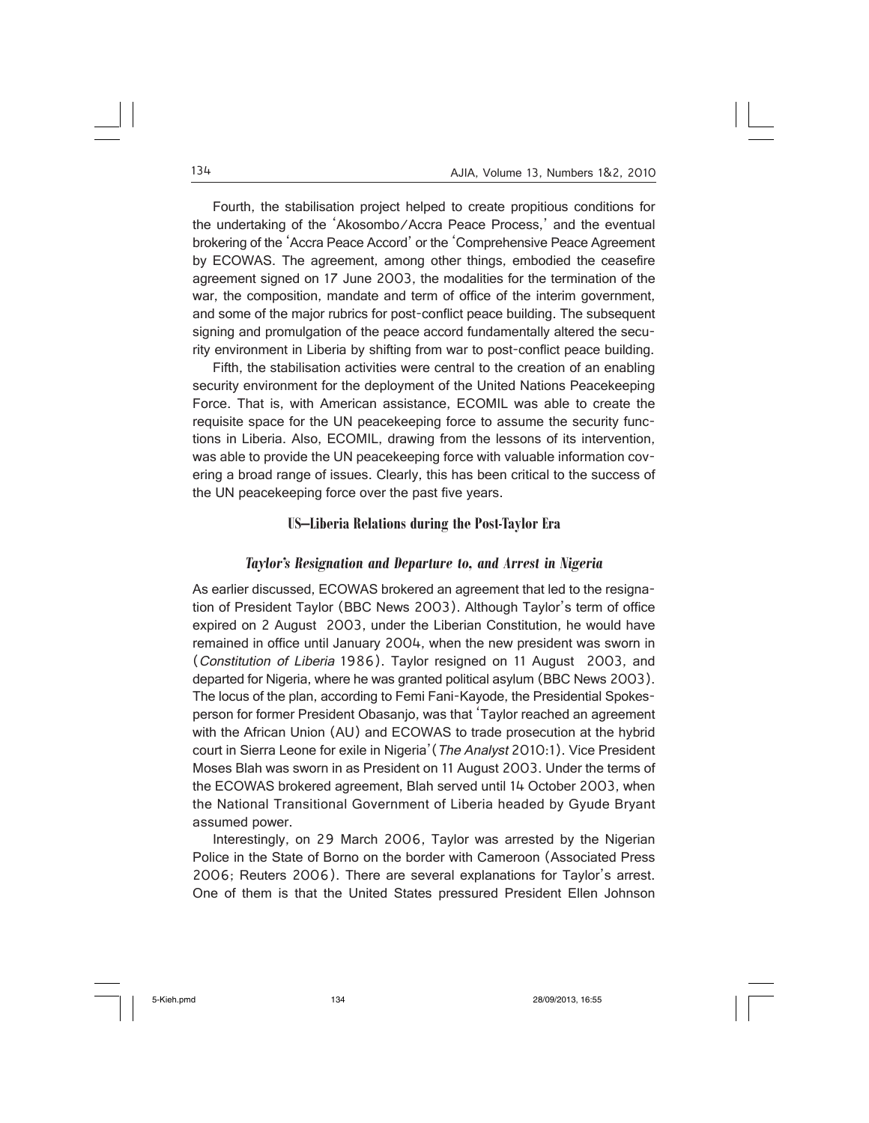Fourth, the stabilisation project helped to create propitious conditions for the undertaking of the 'Akosombo/Accra Peace Process,' and the eventual brokering of the 'Accra Peace Accord' or the 'Comprehensive Peace Agreement by ECOWAS. The agreement, among other things, embodied the ceasefire agreement signed on 17 June 2003, the modalities for the termination of the war, the composition, mandate and term of office of the interim government, and some of the major rubrics for post-conflict peace building. The subsequent signing and promulgation of the peace accord fundamentally altered the security environment in Liberia by shifting from war to post-conflict peace building.

Fifth, the stabilisation activities were central to the creation of an enabling security environment for the deployment of the United Nations Peacekeeping Force. That is, with American assistance, ECOMIL was able to create the requisite space for the UN peacekeeping force to assume the security functions in Liberia. Also, ECOMIL, drawing from the lessons of its intervention, was able to provide the UN peacekeeping force with valuable information covering a broad range of issues. Clearly, this has been critical to the success of the UN peacekeeping force over the past five years.

# **US–Liberia Relations during the Post-Taylor Era**

#### *Taylor's Resignation and Departure to, and Arrest in Nigeria*

As earlier discussed, ECOWAS brokered an agreement that led to the resignation of President Taylor (BBC News 2003). Although Taylor's term of office expired on 2 August 2003, under the Liberian Constitution, he would have remained in office until January 2004, when the new president was sworn in (Constitution of Liberia 1986). Taylor resigned on 11 August 2003, and departed for Nigeria, where he was granted political asylum (BBC News 2003). The locus of the plan, according to Femi Fani-Kayode, the Presidential Spokesperson for former President Obasanjo, was that 'Taylor reached an agreement with the African Union (AU) and ECOWAS to trade prosecution at the hybrid court in Sierra Leone for exile in Nigeria'(The Analyst 2010:1). Vice President Moses Blah was sworn in as President on 11 August 2003. Under the terms of the ECOWAS brokered agreement, Blah served until 14 October 2003, when the National Transitional Government of Liberia headed by Gyude Bryant assumed power.

Interestingly, on 29 March 2006, Taylor was arrested by the Nigerian Police in the State of Borno on the border with Cameroon (Associated Press 2006; Reuters 2006). There are several explanations for Taylor's arrest. One of them is that the United States pressured President Ellen Johnson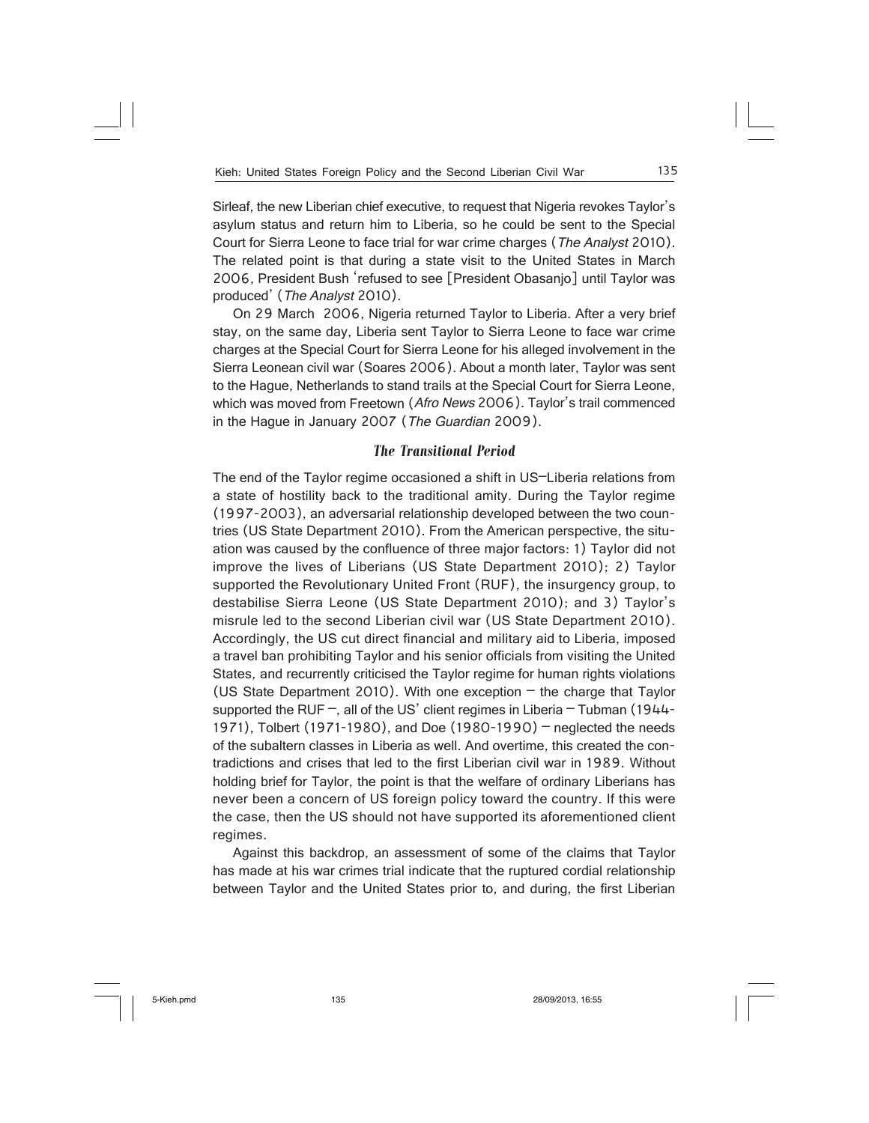Sirleaf, the new Liberian chief executive, to request that Nigeria revokes Taylor's asylum status and return him to Liberia, so he could be sent to the Special Court for Sierra Leone to face trial for war crime charges (The Analyst 2010). The related point is that during a state visit to the United States in March 2006, President Bush 'refused to see [President Obasanjo] until Taylor was produced' (The Analyst 2010).

On 29 March 2006, Nigeria returned Taylor to Liberia. After a very brief stay, on the same day, Liberia sent Taylor to Sierra Leone to face war crime charges at the Special Court for Sierra Leone for his alleged involvement in the Sierra Leonean civil war (Soares 2006). About a month later, Taylor was sent to the Hague, Netherlands to stand trails at the Special Court for Sierra Leone, which was moved from Freetown (Afro News 2006). Taylor's trail commenced in the Hague in January 2007 (The Guardian 2009).

# *The Transitional Period*

The end of the Taylor regime occasioned a shift in US–Liberia relations from a state of hostility back to the traditional amity. During the Taylor regime (1997-2003), an adversarial relationship developed between the two countries (US State Department 2010). From the American perspective, the situation was caused by the confluence of three major factors: 1) Taylor did not improve the lives of Liberians (US State Department 2010); 2) Taylor supported the Revolutionary United Front (RUF), the insurgency group, to destabilise Sierra Leone (US State Department 2010); and 3) Taylor's misrule led to the second Liberian civil war (US State Department 2010). Accordingly, the US cut direct financial and military aid to Liberia, imposed a travel ban prohibiting Taylor and his senior officials from visiting the United States, and recurrently criticised the Taylor regime for human rights violations (US State Department 2010). With one exception  $-$  the charge that Taylor supported the RUF  $-$ , all of the US' client regimes in Liberia  $-$  Tubman (1944-1971), Tolbert (1971-1980), and Doe (1980-1990) – neglected the needs of the subaltern classes in Liberia as well. And overtime, this created the contradictions and crises that led to the first Liberian civil war in 1989. Without holding brief for Taylor, the point is that the welfare of ordinary Liberians has never been a concern of US foreign policy toward the country. If this were the case, then the US should not have supported its aforementioned client regimes.

Against this backdrop, an assessment of some of the claims that Taylor has made at his war crimes trial indicate that the ruptured cordial relationship between Taylor and the United States prior to, and during, the first Liberian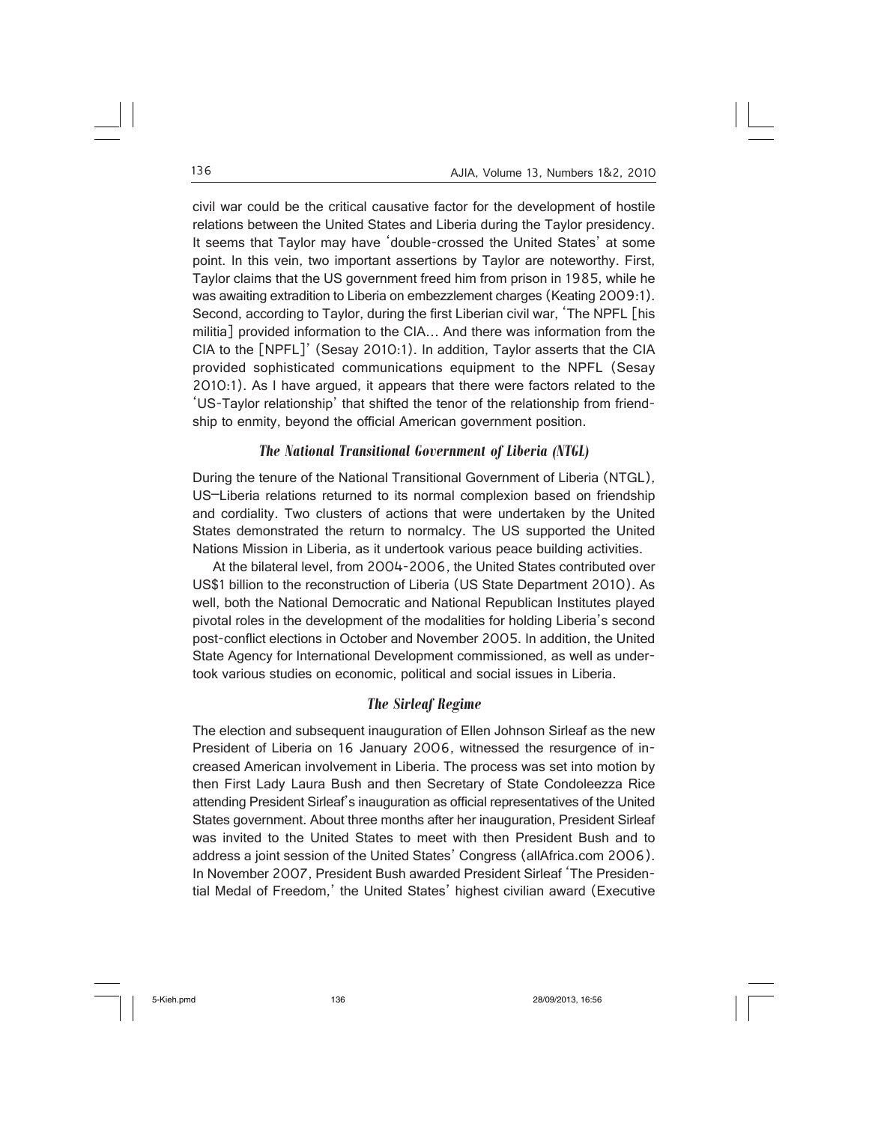civil war could be the critical causative factor for the development of hostile relations between the United States and Liberia during the Taylor presidency. It seems that Taylor may have 'double-crossed the United States' at some point. In this vein, two important assertions by Taylor are noteworthy. First, Taylor claims that the US government freed him from prison in 1985, while he was awaiting extradition to Liberia on embezzlement charges (Keating 2009:1). Second, according to Taylor, during the first Liberian civil war, 'The NPFL [his militia] provided information to the CIA… And there was information from the CIA to the [NPFL]' (Sesay 2010:1). In addition, Taylor asserts that the CIA provided sophisticated communications equipment to the NPFL (Sesay 2010:1). As I have argued, it appears that there were factors related to the 'US-Taylor relationship' that shifted the tenor of the relationship from friendship to enmity, beyond the official American government position.

# *The National Transitional Government of Liberia (NTGL)*

During the tenure of the National Transitional Government of Liberia (NTGL), US–Liberia relations returned to its normal complexion based on friendship and cordiality. Two clusters of actions that were undertaken by the United States demonstrated the return to normalcy. The US supported the United Nations Mission in Liberia, as it undertook various peace building activities.

At the bilateral level, from 2004-2006, the United States contributed over US\$1 billion to the reconstruction of Liberia (US State Department 2010). As well, both the National Democratic and National Republican Institutes played pivotal roles in the development of the modalities for holding Liberia's second post-conflict elections in October and November 2005. In addition, the United State Agency for International Development commissioned, as well as undertook various studies on economic, political and social issues in Liberia.

# *The Sirleaf Regime*

The election and subsequent inauguration of Ellen Johnson Sirleaf as the new President of Liberia on 16 January 2006, witnessed the resurgence of increased American involvement in Liberia. The process was set into motion by then First Lady Laura Bush and then Secretary of State Condoleezza Rice attending President Sirleaf's inauguration as official representatives of the United States government. About three months after her inauguration, President Sirleaf was invited to the United States to meet with then President Bush and to address a joint session of the United States' Congress (allAfrica.com 2006). In November 2007, President Bush awarded President Sirleaf 'The Presidential Medal of Freedom,' the United States' highest civilian award (Executive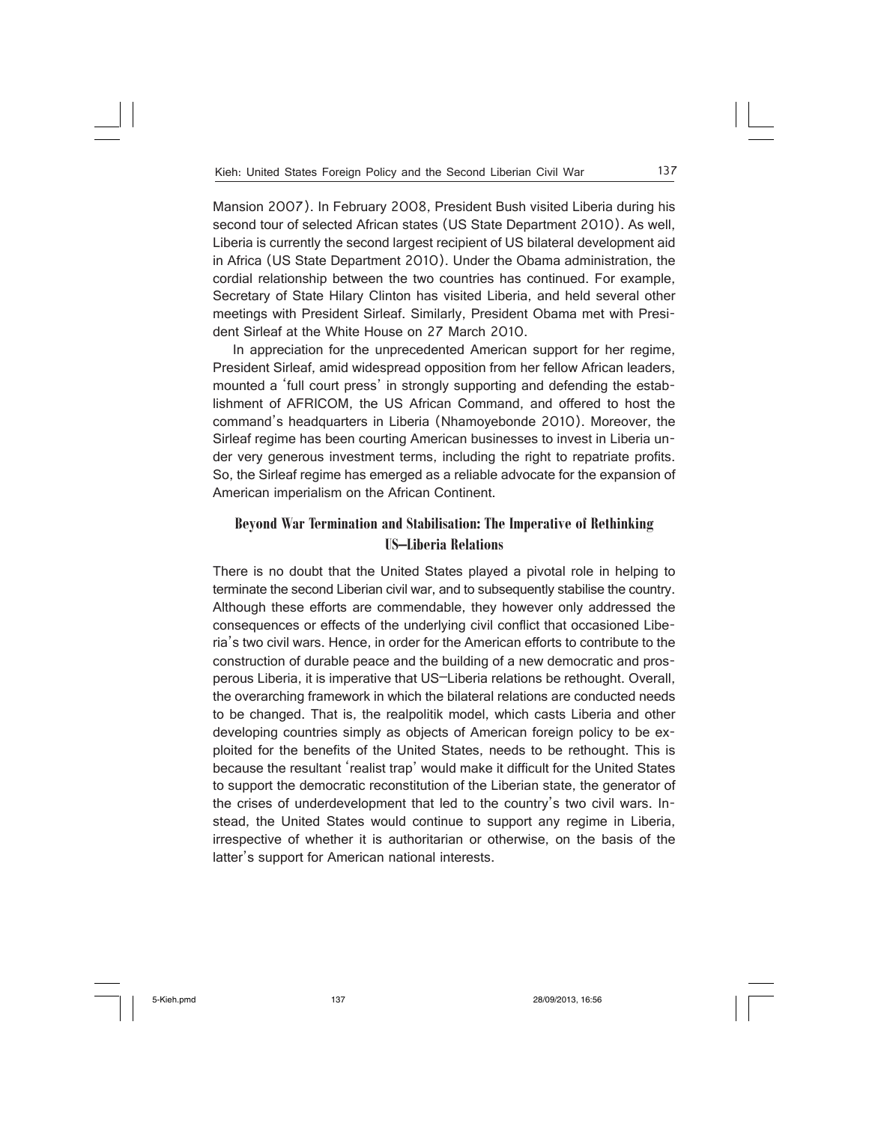Mansion 2007). In February 2008, President Bush visited Liberia during his second tour of selected African states (US State Department 2010). As well, Liberia is currently the second largest recipient of US bilateral development aid in Africa (US State Department 2010). Under the Obama administration, the cordial relationship between the two countries has continued. For example, Secretary of State Hilary Clinton has visited Liberia, and held several other meetings with President Sirleaf. Similarly, President Obama met with President Sirleaf at the White House on 27 March 2010.

In appreciation for the unprecedented American support for her regime, President Sirleaf, amid widespread opposition from her fellow African leaders, mounted a 'full court press' in strongly supporting and defending the establishment of AFRICOM, the US African Command, and offered to host the command's headquarters in Liberia (Nhamoyebonde 2010). Moreover, the Sirleaf regime has been courting American businesses to invest in Liberia under very generous investment terms, including the right to repatriate profits. So, the Sirleaf regime has emerged as a reliable advocate for the expansion of American imperialism on the African Continent.

# **Beyond War Termination and Stabilisation: The Imperative of Rethinking US–Liberia Relations**

There is no doubt that the United States played a pivotal role in helping to terminate the second Liberian civil war, and to subsequently stabilise the country. Although these efforts are commendable, they however only addressed the consequences or effects of the underlying civil conflict that occasioned Liberia's two civil wars. Hence, in order for the American efforts to contribute to the construction of durable peace and the building of a new democratic and prosperous Liberia, it is imperative that US–Liberia relations be rethought. Overall, the overarching framework in which the bilateral relations are conducted needs to be changed. That is, the realpolitik model, which casts Liberia and other developing countries simply as objects of American foreign policy to be exploited for the benefits of the United States, needs to be rethought. This is because the resultant 'realist trap' would make it difficult for the United States to support the democratic reconstitution of the Liberian state, the generator of the crises of underdevelopment that led to the country's two civil wars. Instead, the United States would continue to support any regime in Liberia, irrespective of whether it is authoritarian or otherwise, on the basis of the latter's support for American national interests.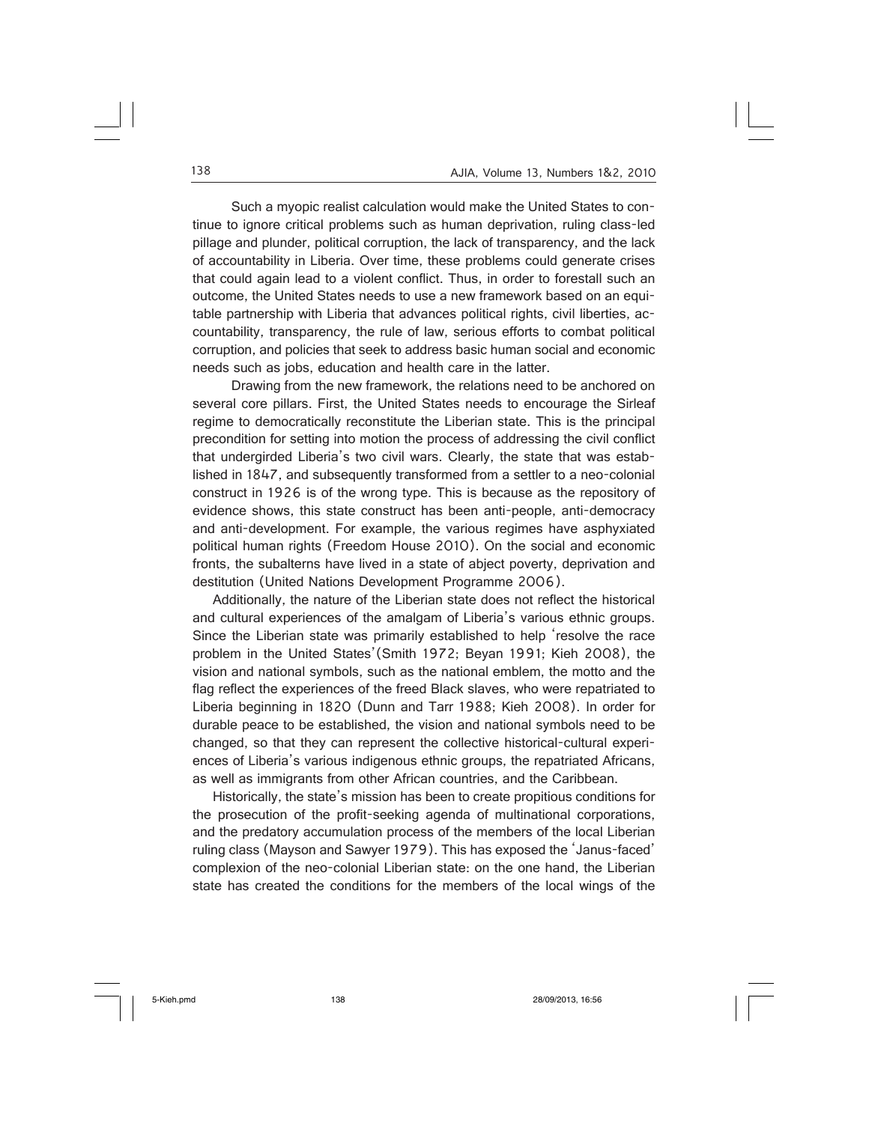Such a myopic realist calculation would make the United States to continue to ignore critical problems such as human deprivation, ruling class-led pillage and plunder, political corruption, the lack of transparency, and the lack of accountability in Liberia. Over time, these problems could generate crises that could again lead to a violent conflict. Thus, in order to forestall such an outcome, the United States needs to use a new framework based on an equitable partnership with Liberia that advances political rights, civil liberties, accountability, transparency, the rule of law, serious efforts to combat political corruption, and policies that seek to address basic human social and economic needs such as jobs, education and health care in the latter.

 Drawing from the new framework, the relations need to be anchored on several core pillars. First, the United States needs to encourage the Sirleaf regime to democratically reconstitute the Liberian state. This is the principal precondition for setting into motion the process of addressing the civil conflict that undergirded Liberia's two civil wars. Clearly, the state that was established in 1847, and subsequently transformed from a settler to a neo-colonial construct in 1926 is of the wrong type. This is because as the repository of evidence shows, this state construct has been anti-people, anti-democracy and anti-development. For example, the various regimes have asphyxiated political human rights (Freedom House 2010). On the social and economic fronts, the subalterns have lived in a state of abject poverty, deprivation and destitution (United Nations Development Programme 2006).

Additionally, the nature of the Liberian state does not reflect the historical and cultural experiences of the amalgam of Liberia's various ethnic groups. Since the Liberian state was primarily established to help 'resolve the race problem in the United States'(Smith 1972; Beyan 1991; Kieh 2008), the vision and national symbols, such as the national emblem, the motto and the flag reflect the experiences of the freed Black slaves, who were repatriated to Liberia beginning in 1820 (Dunn and Tarr 1988; Kieh 2008). In order for durable peace to be established, the vision and national symbols need to be changed, so that they can represent the collective historical-cultural experiences of Liberia's various indigenous ethnic groups, the repatriated Africans, as well as immigrants from other African countries, and the Caribbean.

Historically, the state's mission has been to create propitious conditions for the prosecution of the profit-seeking agenda of multinational corporations, and the predatory accumulation process of the members of the local Liberian ruling class (Mayson and Sawyer 1979). This has exposed the 'Janus-faced' complexion of the neo-colonial Liberian state: on the one hand, the Liberian state has created the conditions for the members of the local wings of the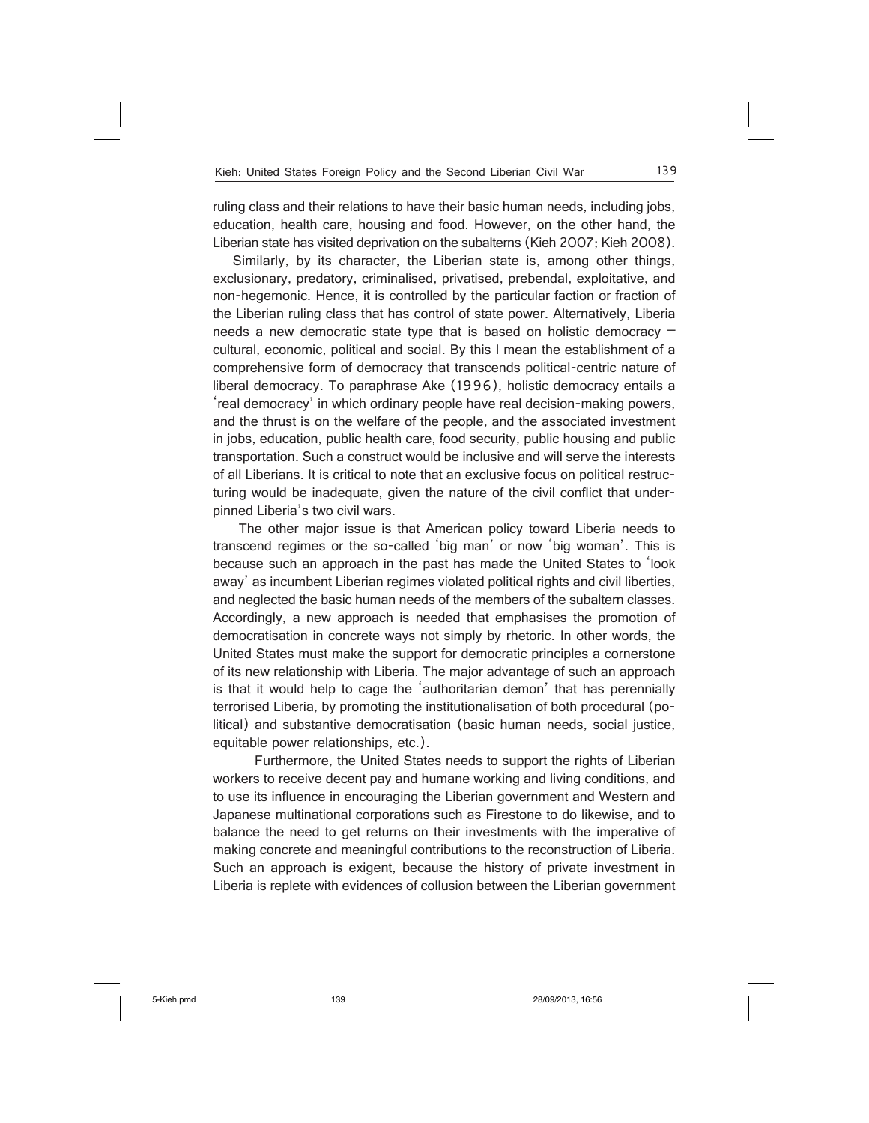ruling class and their relations to have their basic human needs, including jobs, education, health care, housing and food. However, on the other hand, the Liberian state has visited deprivation on the subalterns (Kieh 2007; Kieh 2008).

Similarly, by its character, the Liberian state is, among other things, exclusionary, predatory, criminalised, privatised, prebendal, exploitative, and non-hegemonic. Hence, it is controlled by the particular faction or fraction of the Liberian ruling class that has control of state power. Alternatively, Liberia needs a new democratic state type that is based on holistic democracy – cultural, economic, political and social. By this I mean the establishment of a comprehensive form of democracy that transcends political-centric nature of liberal democracy. To paraphrase Ake (1996), holistic democracy entails a 'real democracy' in which ordinary people have real decision-making powers, and the thrust is on the welfare of the people, and the associated investment in jobs, education, public health care, food security, public housing and public transportation. Such a construct would be inclusive and will serve the interests of all Liberians. It is critical to note that an exclusive focus on political restructuring would be inadequate, given the nature of the civil conflict that underpinned Liberia's two civil wars.

 The other major issue is that American policy toward Liberia needs to transcend regimes or the so-called 'big man' or now 'big woman'. This is because such an approach in the past has made the United States to 'look away' as incumbent Liberian regimes violated political rights and civil liberties, and neglected the basic human needs of the members of the subaltern classes. Accordingly, a new approach is needed that emphasises the promotion of democratisation in concrete ways not simply by rhetoric. In other words, the United States must make the support for democratic principles a cornerstone of its new relationship with Liberia. The major advantage of such an approach is that it would help to cage the 'authoritarian demon' that has perennially terrorised Liberia, by promoting the institutionalisation of both procedural (political) and substantive democratisation (basic human needs, social justice, equitable power relationships, etc.).

 Furthermore, the United States needs to support the rights of Liberian workers to receive decent pay and humane working and living conditions, and to use its influence in encouraging the Liberian government and Western and Japanese multinational corporations such as Firestone to do likewise, and to balance the need to get returns on their investments with the imperative of making concrete and meaningful contributions to the reconstruction of Liberia. Such an approach is exigent, because the history of private investment in Liberia is replete with evidences of collusion between the Liberian government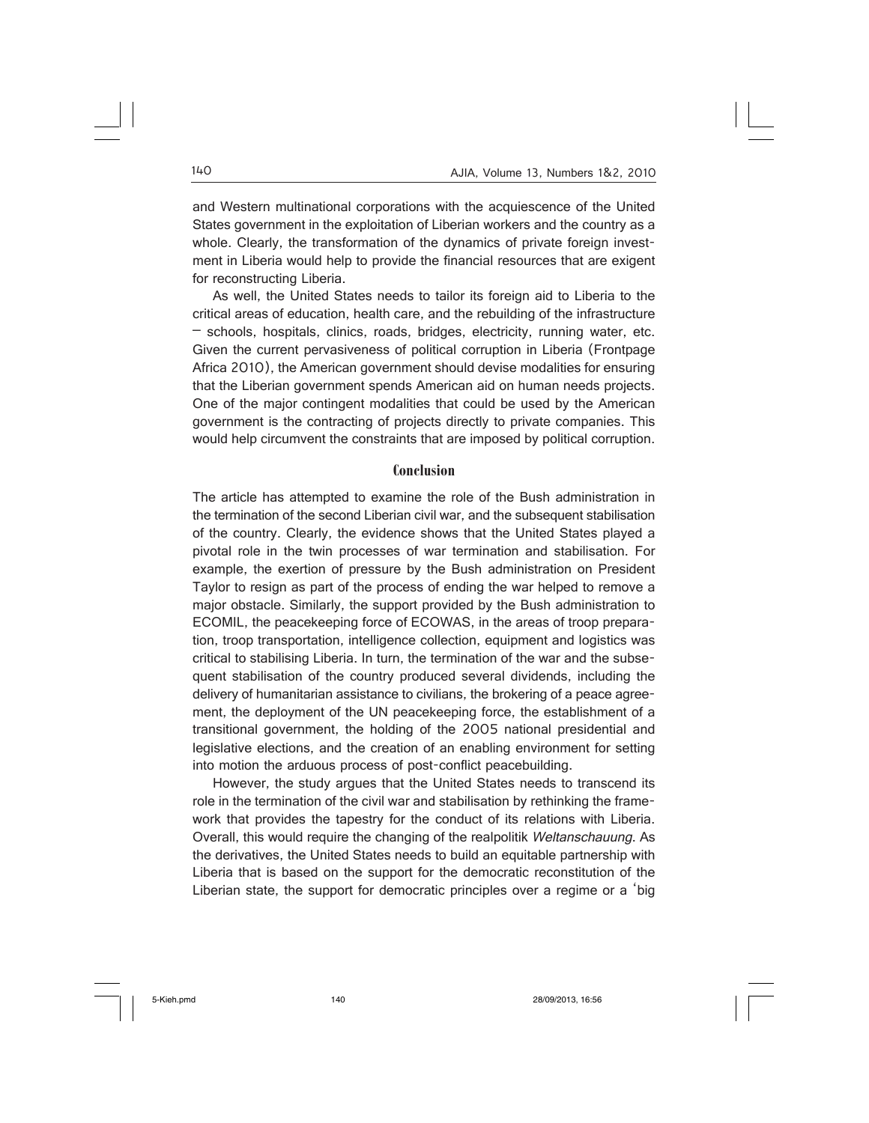and Western multinational corporations with the acquiescence of the United States government in the exploitation of Liberian workers and the country as a whole. Clearly, the transformation of the dynamics of private foreign investment in Liberia would help to provide the financial resources that are exigent for reconstructing Liberia.

As well, the United States needs to tailor its foreign aid to Liberia to the critical areas of education, health care, and the rebuilding of the infrastructure – schools, hospitals, clinics, roads, bridges, electricity, running water, etc. Given the current pervasiveness of political corruption in Liberia (Frontpage Africa 2010), the American government should devise modalities for ensuring that the Liberian government spends American aid on human needs projects. One of the major contingent modalities that could be used by the American government is the contracting of projects directly to private companies. This would help circumvent the constraints that are imposed by political corruption.

#### **Conclusion**

The article has attempted to examine the role of the Bush administration in the termination of the second Liberian civil war, and the subsequent stabilisation of the country. Clearly, the evidence shows that the United States played a pivotal role in the twin processes of war termination and stabilisation. For example, the exertion of pressure by the Bush administration on President Taylor to resign as part of the process of ending the war helped to remove a major obstacle. Similarly, the support provided by the Bush administration to ECOMIL, the peacekeeping force of ECOWAS, in the areas of troop preparation, troop transportation, intelligence collection, equipment and logistics was critical to stabilising Liberia. In turn, the termination of the war and the subsequent stabilisation of the country produced several dividends, including the delivery of humanitarian assistance to civilians, the brokering of a peace agreement, the deployment of the UN peacekeeping force, the establishment of a transitional government, the holding of the 2005 national presidential and legislative elections, and the creation of an enabling environment for setting into motion the arduous process of post-conflict peacebuilding.

However, the study argues that the United States needs to transcend its role in the termination of the civil war and stabilisation by rethinking the framework that provides the tapestry for the conduct of its relations with Liberia. Overall, this would require the changing of the realpolitik Weltanschauung. As the derivatives, the United States needs to build an equitable partnership with Liberia that is based on the support for the democratic reconstitution of the Liberian state, the support for democratic principles over a regime or a 'big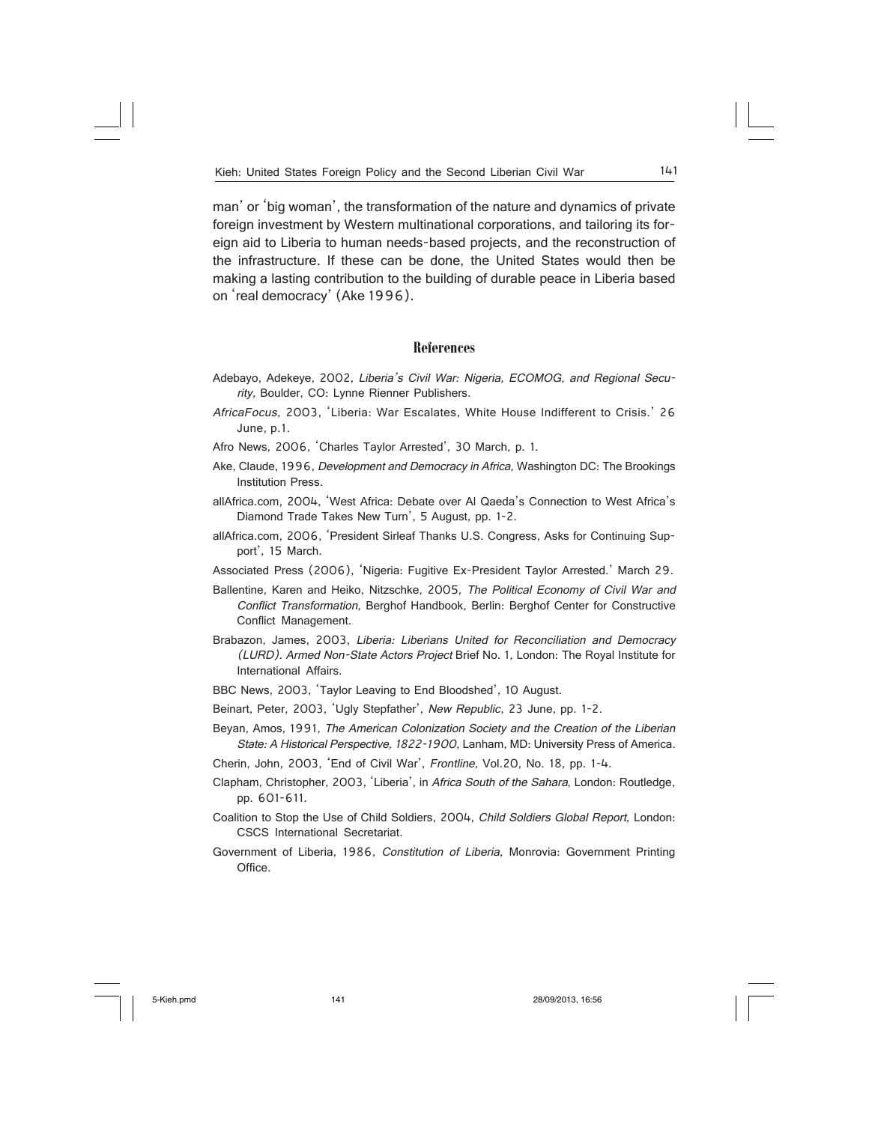man' or 'big woman', the transformation of the nature and dynamics of private foreign investment by Western multinational corporations, and tailoring its foreign aid to Liberia to human needs-based projects, and the reconstruction of the infrastructure. If these can be done, the United States would then be making a lasting contribution to the building of durable peace in Liberia based on 'real democracy' (Ake 1996).

#### **References**

- Adebayo, Adekeye, 2002, Liberia's Civil War: Nigeria, ECOMOG, and Regional Security, Boulder, CO: Lynne Rienner Publishers.
- AfricaFocus, 2003, 'Liberia: War Escalates, White House Indifferent to Crisis.' 26 June, p.1.

Afro News, 2006, 'Charles Taylor Arrested', 30 March, p. 1.

- Ake, Claude, 1996, Development and Democracy in Africa, Washington DC: The Brookings Institution Press.
- allAfrica.com, 2004, 'West Africa: Debate over Al Qaeda's Connection to West Africa's Diamond Trade Takes New Turn', 5 August, pp. 1-2.
- allAfrica.com, 2006, 'President Sirleaf Thanks U.S. Congress, Asks for Continuing Support', 15 March.
- Associated Press (2006), 'Nigeria: Fugitive Ex-President Taylor Arrested.' March 29.
- Ballentine, Karen and Heiko, Nitzschke, 2005, The Political Economy of Civil War and Conflict Transformation, Berghof Handbook, Berlin: Berghof Center for Constructive Conflict Management.
- Brabazon, James, 2003, Liberia: Liberians United for Reconciliation and Democracy (LURD). Armed Non-State Actors Project Brief No. 1, London: The Royal Institute for International Affairs.
- BBC News, 2003, 'Taylor Leaving to End Bloodshed', 10 August.
- Beinart, Peter, 2003, 'Ugly Stepfather', New Republic, 23 June, pp. 1-2.
- Beyan, Amos, 1991, The American Colonization Society and the Creation of the Liberian State: A Historical Perspective, 1822-1900, Lanham, MD: University Press of America.
- Cherin, John, 2003, 'End of Civil War', Frontline, Vol.20, No. 18, pp. 1-4.
- Clapham, Christopher, 2003, 'Liberia', in Africa South of the Sahara, London: Routledge, pp. 601-611.
- Coalition to Stop the Use of Child Soldiers, 2004, Child Soldiers Global Report, London: CSCS International Secretariat.
- Government of Liberia, 1986, Constitution of Liberia, Monrovia: Government Printing Office.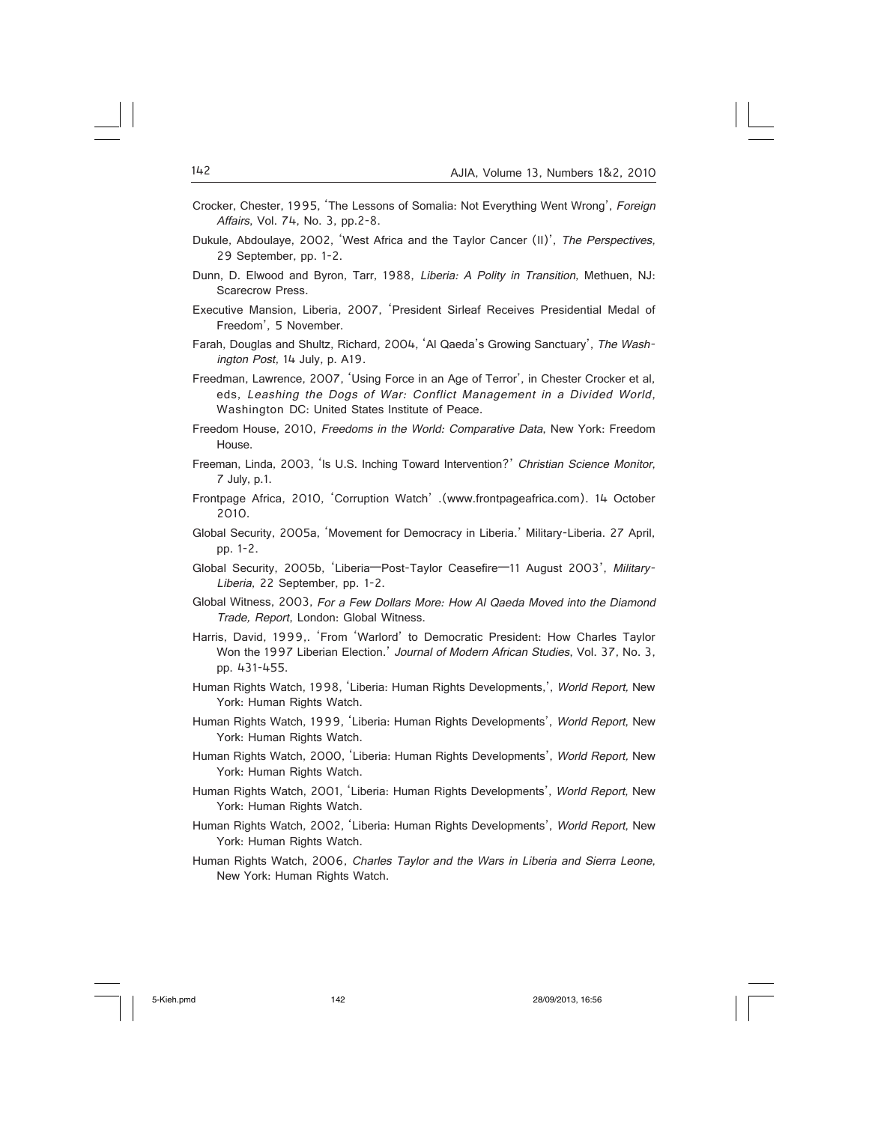- Crocker, Chester, 1995, 'The Lessons of Somalia: Not Everything Went Wrong', Foreign Affairs, Vol. 74, No. 3, pp.2-8.
- Dukule, Abdoulaye, 2002, 'West Africa and the Taylor Cancer (II)', The Perspectives, 29 September, pp. 1-2.
- Dunn, D. Elwood and Byron, Tarr, 1988, Liberia: A Polity in Transition, Methuen, NJ: Scarecrow Press.
- Executive Mansion, Liberia, 2007, 'President Sirleaf Receives Presidential Medal of Freedom', 5 November.
- Farah, Douglas and Shultz, Richard, 2004, 'Al Qaeda's Growing Sanctuary', The Washington Post, 14 July, p. A19.
- Freedman, Lawrence, 2007, 'Using Force in an Age of Terror', in Chester Crocker et al, eds, Leashing the Dogs of War: Conflict Management in a Divided World, Washington DC: United States Institute of Peace.
- Freedom House, 2010, Freedoms in the World: Comparative Data, New York: Freedom House.
- Freeman, Linda, 2003, 'Is U.S. Inching Toward Intervention?' Christian Science Monitor, 7 July, p.1.
- Frontpage Africa, 2010, 'Corruption Watch' .(www.frontpageafrica.com). 14 October 2010.
- Global Security, 2005a, 'Movement for Democracy in Liberia.' Military-Liberia. 27 April, pp. 1-2.
- Global Security, 2005b, 'Liberia—Post-Taylor Ceasefire—11 August 2003', Military-Liberia, 22 September, pp. 1-2.
- Global Witness, 2003, For a Few Dollars More: How Al Qaeda Moved into the Diamond Trade, Report, London: Global Witness.
- Harris, David, 1999,. 'From 'Warlord' to Democratic President: How Charles Taylor Won the 1997 Liberian Election.' Journal of Modern African Studies, Vol. 37, No. 3, pp. 431-455.
- Human Rights Watch, 1998, 'Liberia: Human Rights Developments,', World Report, New York: Human Rights Watch.
- Human Rights Watch, 1999, 'Liberia: Human Rights Developments', World Report, New York: Human Rights Watch.
- Human Rights Watch, 2000, 'Liberia: Human Rights Developments', World Report, New York: Human Rights Watch.
- Human Rights Watch, 2001, 'Liberia: Human Rights Developments', World Report, New York: Human Rights Watch.
- Human Rights Watch, 2002, 'Liberia: Human Rights Developments', World Report, New York: Human Rights Watch.
- Human Rights Watch, 2006, Charles Taylor and the Wars in Liberia and Sierra Leone, New York: Human Rights Watch.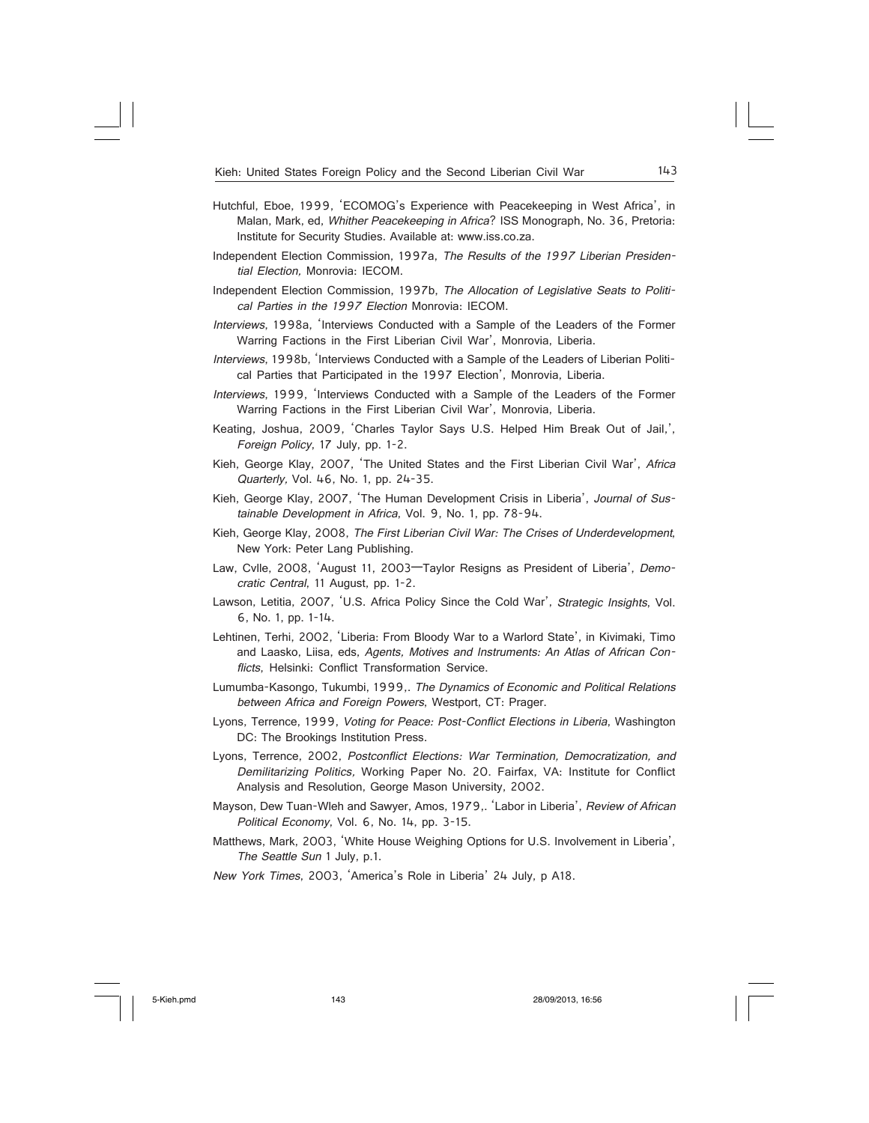- Hutchful, Eboe, 1999, 'ECOMOG's Experience with Peacekeeping in West Africa', in Malan, Mark, ed, Whither Peacekeeping in Africa? ISS Monograph, No. 36, Pretoria: Institute for Security Studies. Available at: www.iss.co.za.
- Independent Election Commission, 1997a, The Results of the 1997 Liberian Presidential Election, Monrovia: IECOM.
- Independent Election Commission, 1997b, The Allocation of Legislative Seats to Political Parties in the 1997 Election Monrovia: IECOM.
- Interviews, 1998a, 'Interviews Conducted with a Sample of the Leaders of the Former Warring Factions in the First Liberian Civil War', Monrovia, Liberia.
- Interviews, 1998b, 'Interviews Conducted with a Sample of the Leaders of Liberian Political Parties that Participated in the 1997 Election', Monrovia, Liberia.
- Interviews, 1999, 'Interviews Conducted with a Sample of the Leaders of the Former Warring Factions in the First Liberian Civil War', Monrovia, Liberia.
- Keating, Joshua, 2009, 'Charles Taylor Says U.S. Helped Him Break Out of Jail,', Foreign Policy, 17 July, pp. 1-2.
- Kieh, George Klay, 2007, 'The United States and the First Liberian Civil War', Africa Quarterly, Vol. 46, No. 1, pp. 24-35.
- Kieh, George Klay, 2007, 'The Human Development Crisis in Liberia', Journal of Sustainable Development in Africa, Vol. 9, No. 1, pp. 78-94.
- Kieh, George Klay, 2008, The First Liberian Civil War: The Crises of Underdevelopment, New York: Peter Lang Publishing.
- Law, Cvlle, 2008, 'August 11, 2003—Taylor Resigns as President of Liberia', Democratic Central, 11 August, pp. 1-2.
- Lawson, Letitia, 2007, 'U.S. Africa Policy Since the Cold War', Strategic Insights, Vol. 6, No. 1, pp. 1-14.
- Lehtinen, Terhi, 2002, 'Liberia: From Bloody War to a Warlord State', in Kivimaki, Timo and Laasko, Liisa, eds, Agents, Motives and Instruments: An Atlas of African Conflicts, Helsinki: Conflict Transformation Service.
- Lumumba-Kasongo, Tukumbi, 1999,. The Dynamics of Economic and Political Relations between Africa and Foreign Powers, Westport, CT: Prager.
- Lyons, Terrence, 1999, Voting for Peace: Post-Conflict Elections in Liberia, Washington DC: The Brookings Institution Press.
- Lyons, Terrence, 2002, Postconflict Elections: War Termination, Democratization, and Demilitarizing Politics, Working Paper No. 20. Fairfax, VA: Institute for Conflict Analysis and Resolution, George Mason University, 2002.
- Mayson, Dew Tuan-Wleh and Sawyer, Amos, 1979,. 'Labor in Liberia', Review of African Political Economy, Vol. 6, No. 14, pp. 3-15.
- Matthews, Mark, 2003, 'White House Weighing Options for U.S. Involvement in Liberia', The Seattle Sun 1 July, p.1.

New York Times, 2003, 'America's Role in Liberia' 24 July, p A18.